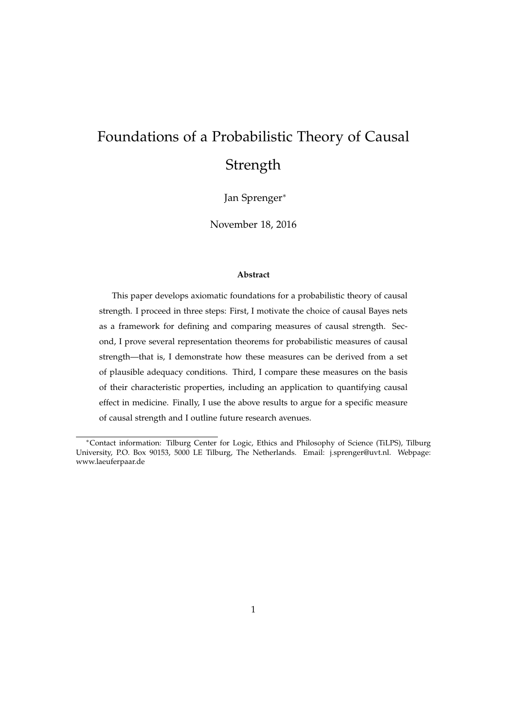# Foundations of a Probabilistic Theory of Causal **Strength**

Jan Sprenger<sup>∗</sup>

November 18, 2016

#### **Abstract**

This paper develops axiomatic foundations for a probabilistic theory of causal strength. I proceed in three steps: First, I motivate the choice of causal Bayes nets as a framework for defining and comparing measures of causal strength. Second, I prove several representation theorems for probabilistic measures of causal strength—that is, I demonstrate how these measures can be derived from a set of plausible adequacy conditions. Third, I compare these measures on the basis of their characteristic properties, including an application to quantifying causal effect in medicine. Finally, I use the above results to argue for a specific measure of causal strength and I outline future research avenues.

<sup>∗</sup>Contact information: Tilburg Center for Logic, Ethics and Philosophy of Science (TiLPS), Tilburg University, P.O. Box 90153, 5000 LE Tilburg, The Netherlands. Email: j.sprenger@uvt.nl. Webpage: www.laeuferpaar.de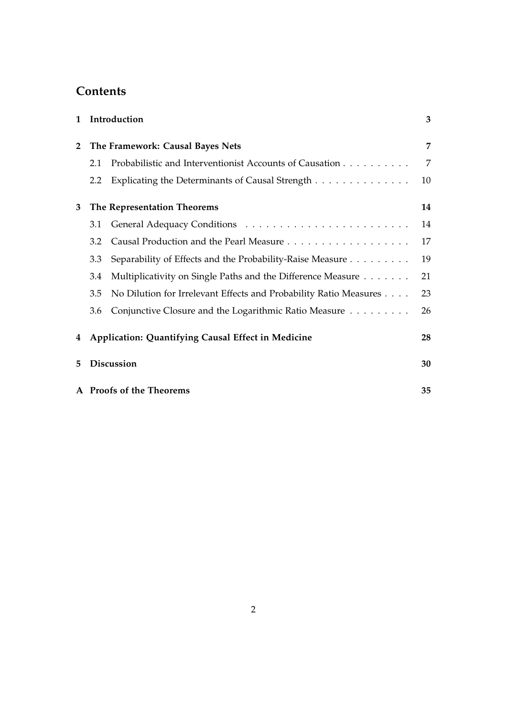## **Contents**

| $\mathbf{1}$ |                                                                | Introduction                                                      | 3  |  |  |  |  |  |
|--------------|----------------------------------------------------------------|-------------------------------------------------------------------|----|--|--|--|--|--|
| $\mathbf{2}$ | The Framework: Causal Bayes Nets                               |                                                                   |    |  |  |  |  |  |
|              | Probabilistic and Interventionist Accounts of Causation<br>2.1 |                                                                   |    |  |  |  |  |  |
|              | 2.2                                                            | Explicating the Determinants of Causal Strength                   | 10 |  |  |  |  |  |
| 3            | The Representation Theorems                                    |                                                                   |    |  |  |  |  |  |
|              | 3.1                                                            |                                                                   | 14 |  |  |  |  |  |
|              | 3.2                                                            |                                                                   | 17 |  |  |  |  |  |
|              | 3.3                                                            | Separability of Effects and the Probability-Raise Measure         | 19 |  |  |  |  |  |
|              | 3.4                                                            | Multiplicativity on Single Paths and the Difference Measure       | 21 |  |  |  |  |  |
|              | 3.5                                                            | No Dilution for Irrelevant Effects and Probability Ratio Measures | 23 |  |  |  |  |  |
|              | 3.6                                                            | Conjunctive Closure and the Logarithmic Ratio Measure             | 26 |  |  |  |  |  |
| 4            |                                                                | Application: Quantifying Causal Effect in Medicine                | 28 |  |  |  |  |  |
| 5            | <b>Discussion</b>                                              |                                                                   |    |  |  |  |  |  |
|              |                                                                | A Proofs of the Theorems                                          | 35 |  |  |  |  |  |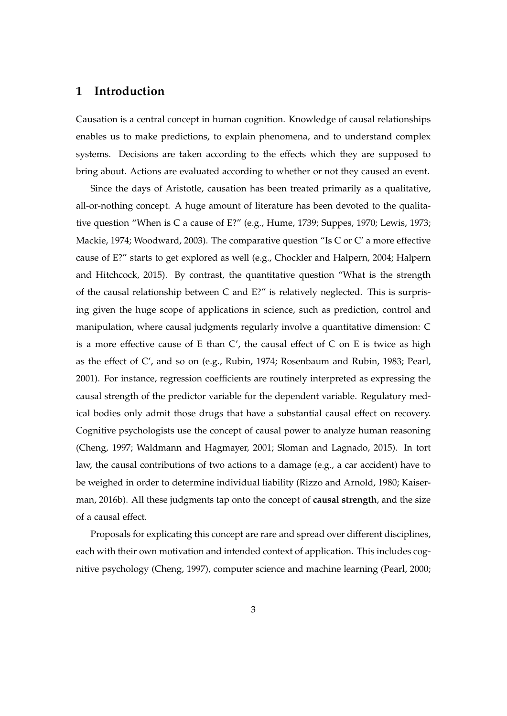## **1 Introduction**

Causation is a central concept in human cognition. Knowledge of causal relationships enables us to make predictions, to explain phenomena, and to understand complex systems. Decisions are taken according to the effects which they are supposed to bring about. Actions are evaluated according to whether or not they caused an event.

Since the days of Aristotle, causation has been treated primarily as a qualitative, all-or-nothing concept. A huge amount of literature has been devoted to the qualitative question "When is C a cause of E?" (e.g., Hume, 1739; Suppes, 1970; Lewis, 1973; Mackie, 1974; Woodward, 2003). The comparative question "Is C or C' a more effective cause of E?" starts to get explored as well (e.g., Chockler and Halpern, 2004; Halpern and Hitchcock, 2015). By contrast, the quantitative question "What is the strength of the causal relationship between C and E?" is relatively neglected. This is surprising given the huge scope of applications in science, such as prediction, control and manipulation, where causal judgments regularly involve a quantitative dimension: C is a more effective cause of E than  $C'$ , the causal effect of C on E is twice as high as the effect of C', and so on (e.g., Rubin, 1974; Rosenbaum and Rubin, 1983; Pearl, 2001). For instance, regression coefficients are routinely interpreted as expressing the causal strength of the predictor variable for the dependent variable. Regulatory medical bodies only admit those drugs that have a substantial causal effect on recovery. Cognitive psychologists use the concept of causal power to analyze human reasoning (Cheng, 1997; Waldmann and Hagmayer, 2001; Sloman and Lagnado, 2015). In tort law, the causal contributions of two actions to a damage (e.g., a car accident) have to be weighed in order to determine individual liability (Rizzo and Arnold, 1980; Kaiserman, 2016b). All these judgments tap onto the concept of **causal strength**, and the size of a causal effect.

Proposals for explicating this concept are rare and spread over different disciplines, each with their own motivation and intended context of application. This includes cognitive psychology (Cheng, 1997), computer science and machine learning (Pearl, 2000;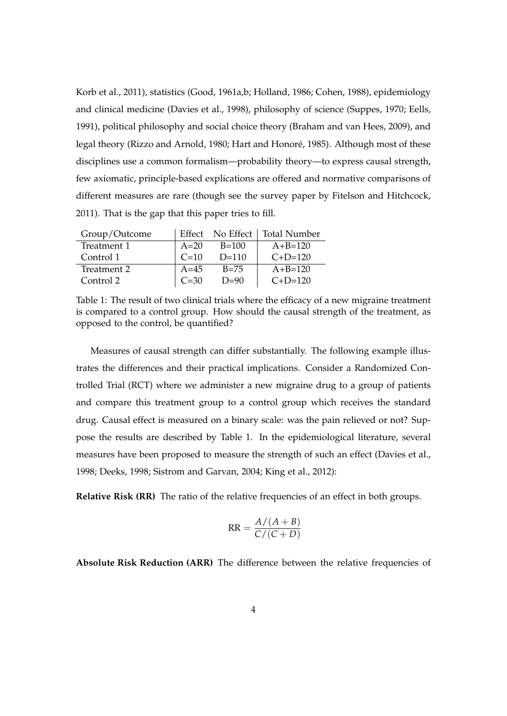Korb et al., 2011), statistics (Good, 1961a,b; Holland, 1986; Cohen, 1988), epidemiology and clinical medicine (Davies et al., 1998), philosophy of science (Suppes, 1970; Eells, 1991), political philosophy and social choice theory (Braham and van Hees, 2009), and legal theory (Rizzo and Arnold, 1980; Hart and Honoré, 1985). Although most of these disciplines use a common formalism—probability theory—to express causal strength, few axiomatic, principle-based explications are offered and normative comparisons of different measures are rare (though see the survey paper by Fitelson and Hitchcock, 2011). That is the gap that this paper tries to fill.

| Group/Outcome | Effect |          | No Effect   Total Number |  |  |
|---------------|--------|----------|--------------------------|--|--|
| Treatment 1   | $A=20$ | $B=100$  | $A + B = 120$            |  |  |
| Control 1     | $C=10$ | $D=110$  | $C+D=120$                |  |  |
| Treatment 2   | $A=45$ | $B = 75$ | $A + B = 120$            |  |  |
| Control 2     | $C=30$ | $D=90$   | $C+D=120$                |  |  |

Table 1: The result of two clinical trials where the efficacy of a new migraine treatment is compared to a control group. How should the causal strength of the treatment, as opposed to the control, be quantified?

Measures of causal strength can differ substantially. The following example illustrates the differences and their practical implications. Consider a Randomized Controlled Trial (RCT) where we administer a new migraine drug to a group of patients and compare this treatment group to a control group which receives the standard drug. Causal effect is measured on a binary scale: was the pain relieved or not? Suppose the results are described by Table 1. In the epidemiological literature, several measures have been proposed to measure the strength of such an effect (Davies et al., 1998; Deeks, 1998; Sistrom and Garvan, 2004; King et al., 2012):

**Relative Risk (RR)** The ratio of the relative frequencies of an effect in both groups.

$$
RR = \frac{A/(A+B)}{C/(C+D)}
$$

**Absolute Risk Reduction (ARR)** The difference between the relative frequencies of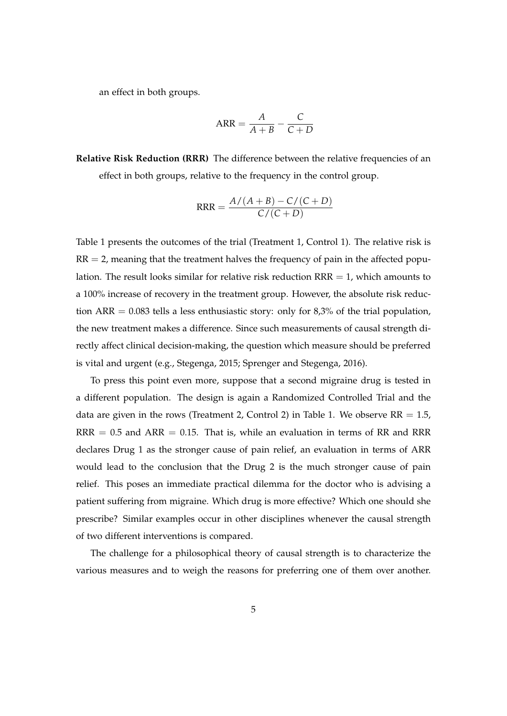an effect in both groups.

$$
ARR = \frac{A}{A+B} - \frac{C}{C+D}
$$

**Relative Risk Reduction (RRR)** The difference between the relative frequencies of an effect in both groups, relative to the frequency in the control group.

$$
RRR = \frac{A/(A+B) - C/(C+D)}{C/(C+D)}
$$

Table 1 presents the outcomes of the trial (Treatment 1, Control 1). The relative risk is  $RR = 2$ , meaning that the treatment halves the frequency of pain in the affected population. The result looks similar for relative risk reduction  $RRR = 1$ , which amounts to a 100% increase of recovery in the treatment group. However, the absolute risk reduction ARR =  $0.083$  tells a less enthusiastic story: only for  $8,3\%$  of the trial population, the new treatment makes a difference. Since such measurements of causal strength directly affect clinical decision-making, the question which measure should be preferred is vital and urgent (e.g., Stegenga, 2015; Sprenger and Stegenga, 2016).

To press this point even more, suppose that a second migraine drug is tested in a different population. The design is again a Randomized Controlled Trial and the data are given in the rows (Treatment 2, Control 2) in Table 1. We observe  $RR = 1.5$ ,  $RRR = 0.5$  and  $ARR = 0.15$ . That is, while an evaluation in terms of RR and RRR declares Drug 1 as the stronger cause of pain relief, an evaluation in terms of ARR would lead to the conclusion that the Drug 2 is the much stronger cause of pain relief. This poses an immediate practical dilemma for the doctor who is advising a patient suffering from migraine. Which drug is more effective? Which one should she prescribe? Similar examples occur in other disciplines whenever the causal strength of two different interventions is compared.

The challenge for a philosophical theory of causal strength is to characterize the various measures and to weigh the reasons for preferring one of them over another.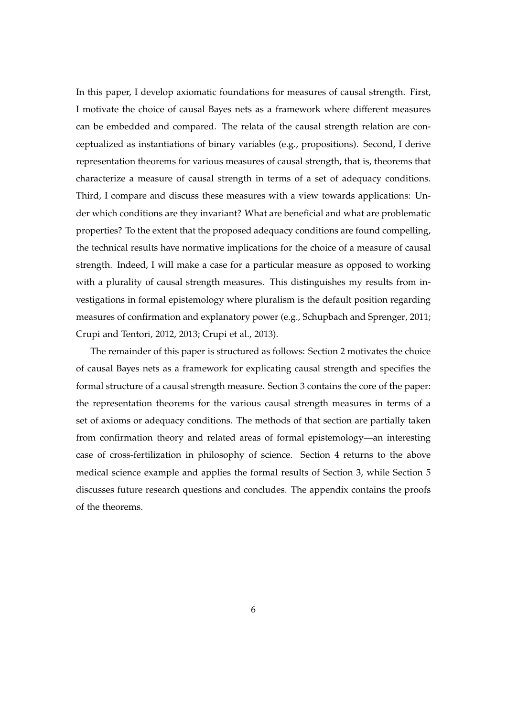In this paper, I develop axiomatic foundations for measures of causal strength. First, I motivate the choice of causal Bayes nets as a framework where different measures can be embedded and compared. The relata of the causal strength relation are conceptualized as instantiations of binary variables (e.g., propositions). Second, I derive representation theorems for various measures of causal strength, that is, theorems that characterize a measure of causal strength in terms of a set of adequacy conditions. Third, I compare and discuss these measures with a view towards applications: Under which conditions are they invariant? What are beneficial and what are problematic properties? To the extent that the proposed adequacy conditions are found compelling, the technical results have normative implications for the choice of a measure of causal strength. Indeed, I will make a case for a particular measure as opposed to working with a plurality of causal strength measures. This distinguishes my results from investigations in formal epistemology where pluralism is the default position regarding measures of confirmation and explanatory power (e.g., Schupbach and Sprenger, 2011; Crupi and Tentori, 2012, 2013; Crupi et al., 2013).

The remainder of this paper is structured as follows: Section 2 motivates the choice of causal Bayes nets as a framework for explicating causal strength and specifies the formal structure of a causal strength measure. Section 3 contains the core of the paper: the representation theorems for the various causal strength measures in terms of a set of axioms or adequacy conditions. The methods of that section are partially taken from confirmation theory and related areas of formal epistemology—an interesting case of cross-fertilization in philosophy of science. Section 4 returns to the above medical science example and applies the formal results of Section 3, while Section 5 discusses future research questions and concludes. The appendix contains the proofs of the theorems.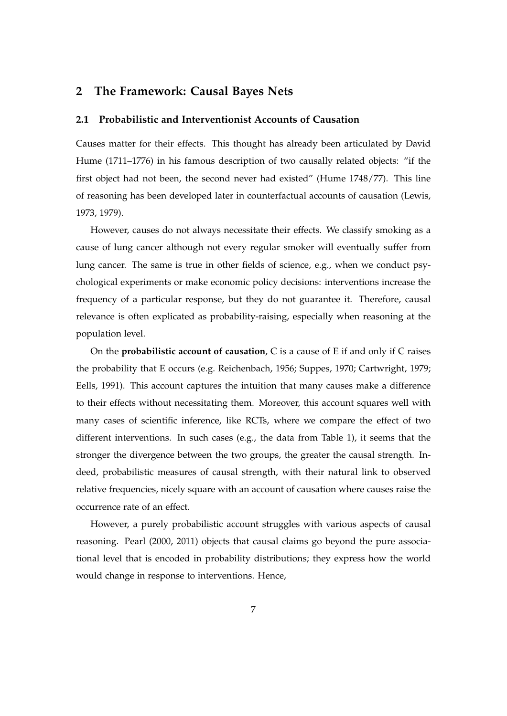## **2 The Framework: Causal Bayes Nets**

#### **2.1 Probabilistic and Interventionist Accounts of Causation**

Causes matter for their effects. This thought has already been articulated by David Hume (1711–1776) in his famous description of two causally related objects: "if the first object had not been, the second never had existed" (Hume 1748/77). This line of reasoning has been developed later in counterfactual accounts of causation (Lewis, 1973, 1979).

However, causes do not always necessitate their effects. We classify smoking as a cause of lung cancer although not every regular smoker will eventually suffer from lung cancer. The same is true in other fields of science, e.g., when we conduct psychological experiments or make economic policy decisions: interventions increase the frequency of a particular response, but they do not guarantee it. Therefore, causal relevance is often explicated as probability-raising, especially when reasoning at the population level.

On the **probabilistic account of causation**, C is a cause of E if and only if C raises the probability that E occurs (e.g. Reichenbach, 1956; Suppes, 1970; Cartwright, 1979; Eells, 1991). This account captures the intuition that many causes make a difference to their effects without necessitating them. Moreover, this account squares well with many cases of scientific inference, like RCTs, where we compare the effect of two different interventions. In such cases (e.g., the data from Table 1), it seems that the stronger the divergence between the two groups, the greater the causal strength. Indeed, probabilistic measures of causal strength, with their natural link to observed relative frequencies, nicely square with an account of causation where causes raise the occurrence rate of an effect.

However, a purely probabilistic account struggles with various aspects of causal reasoning. Pearl (2000, 2011) objects that causal claims go beyond the pure associational level that is encoded in probability distributions; they express how the world would change in response to interventions. Hence,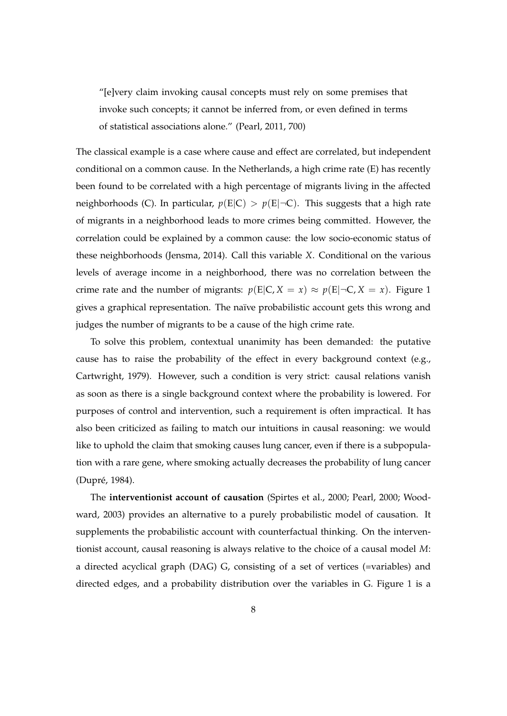"[e]very claim invoking causal concepts must rely on some premises that invoke such concepts; it cannot be inferred from, or even defined in terms of statistical associations alone." (Pearl, 2011, 700)

The classical example is a case where cause and effect are correlated, but independent conditional on a common cause. In the Netherlands, a high crime rate (E) has recently been found to be correlated with a high percentage of migrants living in the affected neighborhoods (C). In particular,  $p(E|C) > p(E|\neg C)$ . This suggests that a high rate of migrants in a neighborhood leads to more crimes being committed. However, the correlation could be explained by a common cause: the low socio-economic status of these neighborhoods (Jensma, 2014). Call this variable *X*. Conditional on the various levels of average income in a neighborhood, there was no correlation between the crime rate and the number of migrants:  $p(E|C, X = x) \approx p(E|\neg C, X = x)$ . Figure 1 gives a graphical representation. The naïve probabilistic account gets this wrong and judges the number of migrants to be a cause of the high crime rate.

To solve this problem, contextual unanimity has been demanded: the putative cause has to raise the probability of the effect in every background context (e.g., Cartwright, 1979). However, such a condition is very strict: causal relations vanish as soon as there is a single background context where the probability is lowered. For purposes of control and intervention, such a requirement is often impractical. It has also been criticized as failing to match our intuitions in causal reasoning: we would like to uphold the claim that smoking causes lung cancer, even if there is a subpopulation with a rare gene, where smoking actually decreases the probability of lung cancer (Dupré, 1984).

The **interventionist account of causation** (Spirtes et al., 2000; Pearl, 2000; Woodward, 2003) provides an alternative to a purely probabilistic model of causation. It supplements the probabilistic account with counterfactual thinking. On the interventionist account, causal reasoning is always relative to the choice of a causal model *M*: a directed acyclical graph (DAG) G, consisting of a set of vertices (=variables) and directed edges, and a probability distribution over the variables in G. Figure 1 is a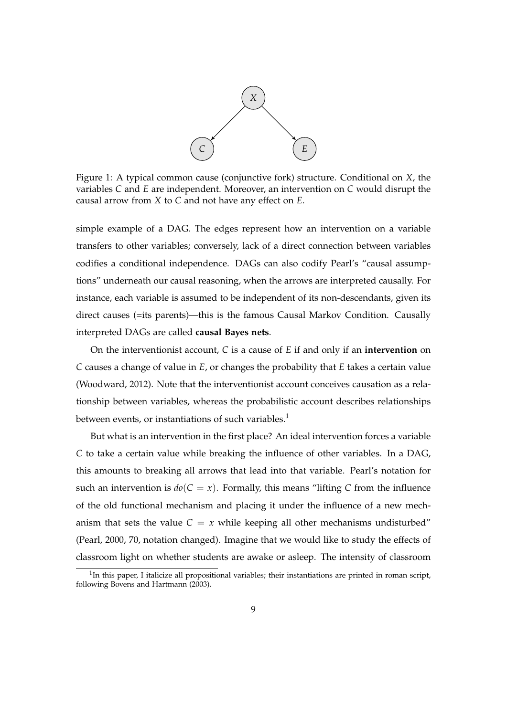

Figure 1: A typical common cause (conjunctive fork) structure. Conditional on *X*, the variables *C* and *E* are independent. Moreover, an intervention on *C* would disrupt the causal arrow from *X* to *C* and not have any effect on *E*.

simple example of a DAG. The edges represent how an intervention on a variable transfers to other variables; conversely, lack of a direct connection between variables codifies a conditional independence. DAGs can also codify Pearl's "causal assumptions" underneath our causal reasoning, when the arrows are interpreted causally. For instance, each variable is assumed to be independent of its non-descendants, given its direct causes (=its parents)—this is the famous Causal Markov Condition. Causally interpreted DAGs are called **causal Bayes nets**.

On the interventionist account, *C* is a cause of *E* if and only if an **intervention** on *C* causes a change of value in *E*, or changes the probability that *E* takes a certain value (Woodward, 2012). Note that the interventionist account conceives causation as a relationship between variables, whereas the probabilistic account describes relationships between events, or instantiations of such variables.<sup>1</sup>

But what is an intervention in the first place? An ideal intervention forces a variable *C* to take a certain value while breaking the influence of other variables. In a DAG, this amounts to breaking all arrows that lead into that variable. Pearl's notation for such an intervention is  $d\sigma(C = x)$ . Formally, this means "lifting C from the influence of the old functional mechanism and placing it under the influence of a new mechanism that sets the value  $C = x$  while keeping all other mechanisms undisturbed" (Pearl, 2000, 70, notation changed). Imagine that we would like to study the effects of classroom light on whether students are awake or asleep. The intensity of classroom

 $1$ In this paper, I italicize all propositional variables; their instantiations are printed in roman script, following Bovens and Hartmann (2003).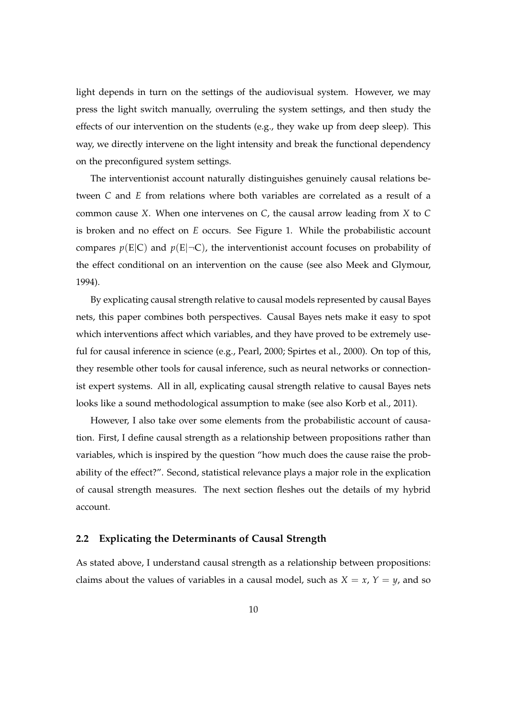light depends in turn on the settings of the audiovisual system. However, we may press the light switch manually, overruling the system settings, and then study the effects of our intervention on the students (e.g., they wake up from deep sleep). This way, we directly intervene on the light intensity and break the functional dependency on the preconfigured system settings.

The interventionist account naturally distinguishes genuinely causal relations between *C* and *E* from relations where both variables are correlated as a result of a common cause *X*. When one intervenes on *C*, the causal arrow leading from *X* to *C* is broken and no effect on *E* occurs. See Figure 1. While the probabilistic account compares  $p(E|C)$  and  $p(E|\neg C)$ , the interventionist account focuses on probability of the effect conditional on an intervention on the cause (see also Meek and Glymour, 1994).

By explicating causal strength relative to causal models represented by causal Bayes nets, this paper combines both perspectives. Causal Bayes nets make it easy to spot which interventions affect which variables, and they have proved to be extremely useful for causal inference in science (e.g., Pearl, 2000; Spirtes et al., 2000). On top of this, they resemble other tools for causal inference, such as neural networks or connectionist expert systems. All in all, explicating causal strength relative to causal Bayes nets looks like a sound methodological assumption to make (see also Korb et al., 2011).

However, I also take over some elements from the probabilistic account of causation. First, I define causal strength as a relationship between propositions rather than variables, which is inspired by the question "how much does the cause raise the probability of the effect?". Second, statistical relevance plays a major role in the explication of causal strength measures. The next section fleshes out the details of my hybrid account.

#### **2.2 Explicating the Determinants of Causal Strength**

As stated above, I understand causal strength as a relationship between propositions: claims about the values of variables in a causal model, such as  $X = x$ ,  $Y = y$ , and so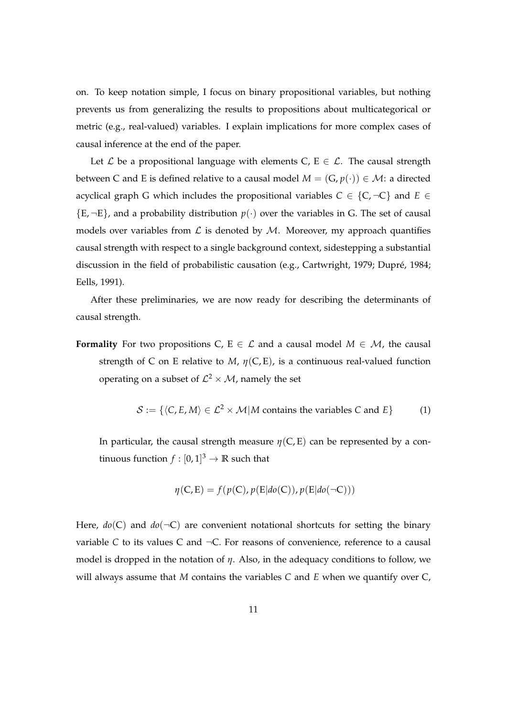on. To keep notation simple, I focus on binary propositional variables, but nothing prevents us from generalizing the results to propositions about multicategorical or metric (e.g., real-valued) variables. I explain implications for more complex cases of causal inference at the end of the paper.

Let  $\mathcal L$  be a propositional language with elements C, E  $\in \mathcal L$ . The causal strength between C and E is defined relative to a causal model  $M = (G, p(\cdot)) \in M$ : a directed acyclical graph G which includes the propositional variables  $C \in \{C, \neg C\}$  and  $E \in$  ${E, \neg E}$ , and a probability distribution  $p(.)$  over the variables in G. The set of causal models over variables from  $\mathcal L$  is denoted by  $\mathcal M$ . Moreover, my approach quantifies causal strength with respect to a single background context, sidestepping a substantial discussion in the field of probabilistic causation (e.g., Cartwright, 1979; Dupré, 1984; Eells, 1991).

After these preliminaries, we are now ready for describing the determinants of causal strength.

**Formality** For two propositions C,  $E \in \mathcal{L}$  and a causal model  $M \in \mathcal{M}$ , the causal strength of C on E relative to *M*,  $\eta$ (C, E), is a continuous real-valued function operating on a subset of  $\mathcal{L}^2 \times \mathcal{M}$ , namely the set

$$
S := \{ \langle C, E, M \rangle \in \mathcal{L}^2 \times \mathcal{M} | M \text{ contains the variables } C \text{ and } E \} \tag{1}
$$

In particular, the causal strength measure  $\eta(C, E)$  can be represented by a continuous function  $f : [0,1]^3 \rightarrow \mathbb{R}$  such that

$$
\eta(C, E) = f(p(C), p(E|do(C)), p(E|do(\neg C)))
$$

Here,  $do(C)$  and  $do(\neg C)$  are convenient notational shortcuts for setting the binary variable  $C$  to its values  $C$  and  $\neg C$ . For reasons of convenience, reference to a causal model is dropped in the notation of *η*. Also, in the adequacy conditions to follow, we will always assume that *M* contains the variables *C* and *E* when we quantify over C,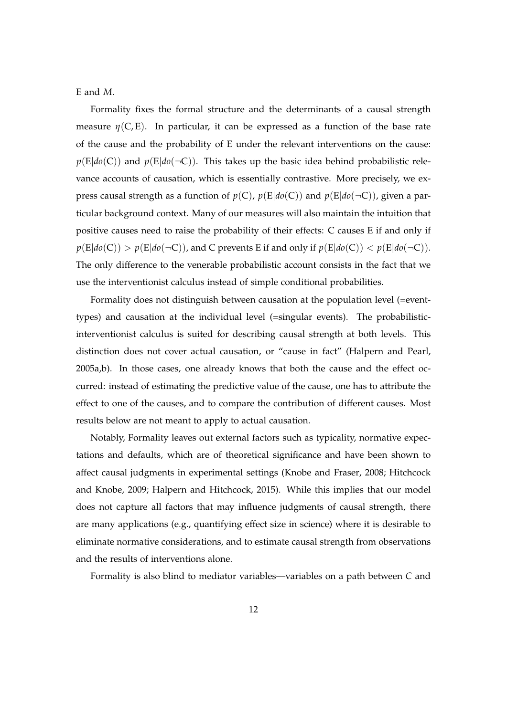E and *M*.

Formality fixes the formal structure and the determinants of a causal strength measure  $\eta(C, E)$ . In particular, it can be expressed as a function of the base rate of the cause and the probability of E under the relevant interventions on the cause:  $p(E|do(C))$  and  $p(E|do(\neg C))$ . This takes up the basic idea behind probabilistic relevance accounts of causation, which is essentially contrastive. More precisely, we express causal strength as a function of  $p(C)$ ,  $p(E|do(C))$  and  $p(E|do(\neg C))$ , given a particular background context. Many of our measures will also maintain the intuition that positive causes need to raise the probability of their effects: C causes E if and only if  $p(E|do(C)) > p(E|do(\neg C))$ , and C prevents E if and only if  $p(E|do(C)) < p(E|do(\neg C))$ . The only difference to the venerable probabilistic account consists in the fact that we use the interventionist calculus instead of simple conditional probabilities.

Formality does not distinguish between causation at the population level (=eventtypes) and causation at the individual level (=singular events). The probabilisticinterventionist calculus is suited for describing causal strength at both levels. This distinction does not cover actual causation, or "cause in fact" (Halpern and Pearl, 2005a,b). In those cases, one already knows that both the cause and the effect occurred: instead of estimating the predictive value of the cause, one has to attribute the effect to one of the causes, and to compare the contribution of different causes. Most results below are not meant to apply to actual causation.

Notably, Formality leaves out external factors such as typicality, normative expectations and defaults, which are of theoretical significance and have been shown to affect causal judgments in experimental settings (Knobe and Fraser, 2008; Hitchcock and Knobe, 2009; Halpern and Hitchcock, 2015). While this implies that our model does not capture all factors that may influence judgments of causal strength, there are many applications (e.g., quantifying effect size in science) where it is desirable to eliminate normative considerations, and to estimate causal strength from observations and the results of interventions alone.

Formality is also blind to mediator variables—variables on a path between *C* and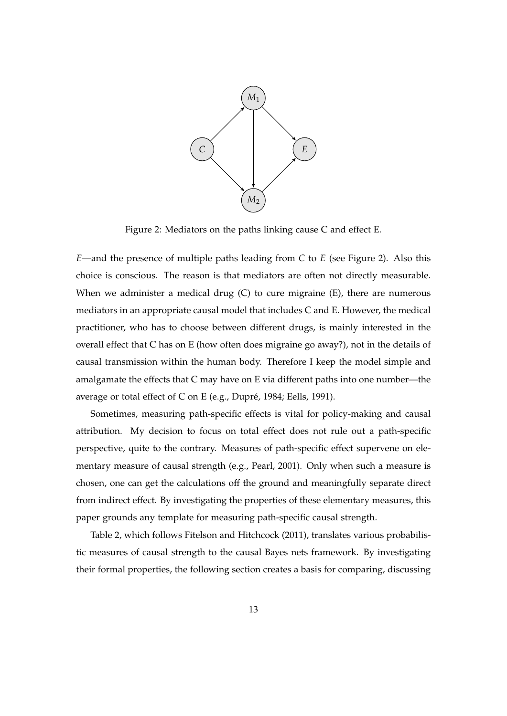

Figure 2: Mediators on the paths linking cause C and effect E.

*E*—and the presence of multiple paths leading from *C* to *E* (see Figure 2). Also this choice is conscious. The reason is that mediators are often not directly measurable. When we administer a medical drug  $(C)$  to cure migraine  $(E)$ , there are numerous mediators in an appropriate causal model that includes C and E. However, the medical practitioner, who has to choose between different drugs, is mainly interested in the overall effect that C has on E (how often does migraine go away?), not in the details of causal transmission within the human body. Therefore I keep the model simple and amalgamate the effects that C may have on E via different paths into one number—the average or total effect of C on E (e.g., Dupré, 1984; Eells, 1991).

Sometimes, measuring path-specific effects is vital for policy-making and causal attribution. My decision to focus on total effect does not rule out a path-specific perspective, quite to the contrary. Measures of path-specific effect supervene on elementary measure of causal strength (e.g., Pearl, 2001). Only when such a measure is chosen, one can get the calculations off the ground and meaningfully separate direct from indirect effect. By investigating the properties of these elementary measures, this paper grounds any template for measuring path-specific causal strength.

Table 2, which follows Fitelson and Hitchcock (2011), translates various probabilistic measures of causal strength to the causal Bayes nets framework. By investigating their formal properties, the following section creates a basis for comparing, discussing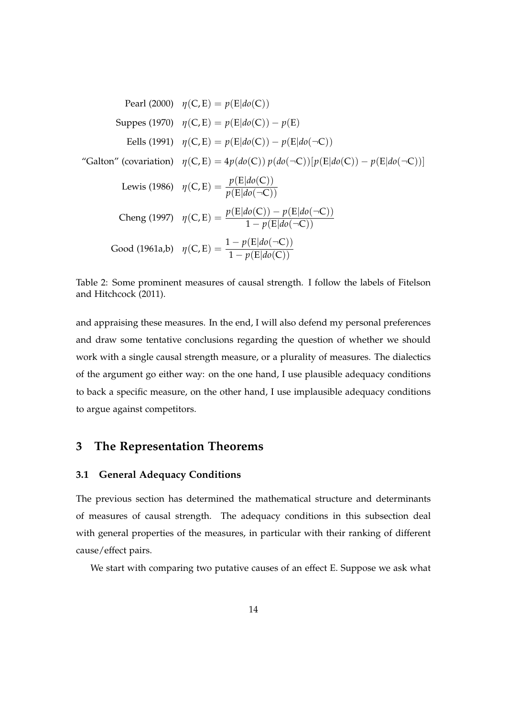Pearl (2000) 
$$
\eta(C, E) = p(E|do(C))
$$
  
\nSuppes (1970)  $\eta(C, E) = p(E|do(C)) - p(E)$   
\nEells (1991)  $\eta(C, E) = p(E|do(C)) - p(E|do(\neg C))$   
\n"Galton" (covariation)  $\eta(C, E) = 4p(do(C)) p(do(\neg C)) [p(E|do(C)) - p(E|do(\neg C))]$   
\nLewis (1986)  $\eta(C, E) = \frac{p(E|do(C))}{p(E|do(\neg C))}$   
\nCheng (1997)  $\eta(C, E) = \frac{p(E|do(C)) - p(E|do(\neg C))}{1 - p(E|do(\neg C))}$   
\nGood (1961a,b)  $\eta(C, E) = \frac{1 - p(E|do(\neg C))}{1 - p(E|do(C))}$ 

Table 2: Some prominent measures of causal strength. I follow the labels of Fitelson and Hitchcock (2011).

and appraising these measures. In the end, I will also defend my personal preferences and draw some tentative conclusions regarding the question of whether we should work with a single causal strength measure, or a plurality of measures. The dialectics of the argument go either way: on the one hand, I use plausible adequacy conditions to back a specific measure, on the other hand, I use implausible adequacy conditions to argue against competitors.

### **3 The Representation Theorems**

#### **3.1 General Adequacy Conditions**

The previous section has determined the mathematical structure and determinants of measures of causal strength. The adequacy conditions in this subsection deal with general properties of the measures, in particular with their ranking of different cause/effect pairs.

We start with comparing two putative causes of an effect E. Suppose we ask what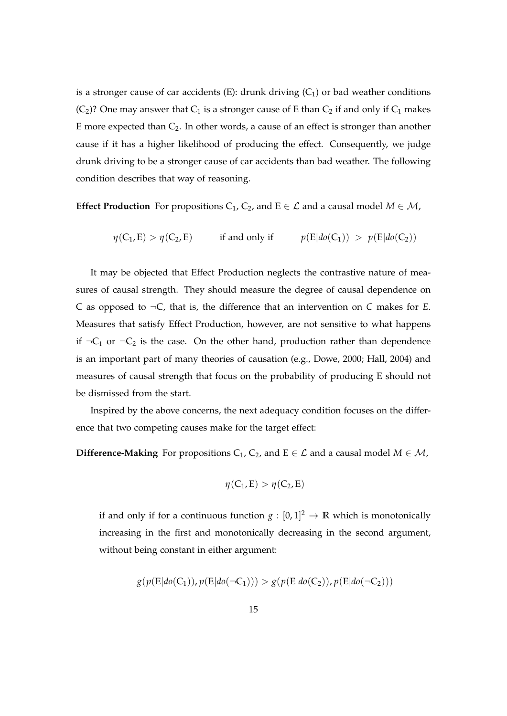is a stronger cause of car accidents (E): drunk driving  $(C_1)$  or bad weather conditions (C<sub>2</sub>)? One may answer that C<sub>1</sub> is a stronger cause of E than C<sub>2</sub> if and only if C<sub>1</sub> makes E more expected than  $C_2$ . In other words, a cause of an effect is stronger than another cause if it has a higher likelihood of producing the effect. Consequently, we judge drunk driving to be a stronger cause of car accidents than bad weather. The following condition describes that way of reasoning.

**Effect Production** For propositions  $C_1$ ,  $C_2$ , and E  $\in \mathcal{L}$  and a causal model  $M \in \mathcal{M}$ ,

$$
\eta(C_1, E) > \eta(C_2, E) \quad \text{if and only if} \quad p(E|do(C_1)) > p(E|do(C_2))
$$

It may be objected that Effect Production neglects the contrastive nature of measures of causal strength. They should measure the degree of causal dependence on C as opposed to ¬C, that is, the difference that an intervention on *C* makes for *E*. Measures that satisfy Effect Production, however, are not sensitive to what happens if  $\neg C_1$  or  $\neg C_2$  is the case. On the other hand, production rather than dependence is an important part of many theories of causation (e.g., Dowe, 2000; Hall, 2004) and measures of causal strength that focus on the probability of producing E should not be dismissed from the start.

Inspired by the above concerns, the next adequacy condition focuses on the difference that two competing causes make for the target effect:

**Difference-Making** For propositions  $C_1$ ,  $C_2$ , and E  $\in \mathcal{L}$  and a causal model  $M \in \mathcal{M}$ ,

$$
\eta(C_1,E) > \eta(C_2,E)
$$

if and only if for a continuous function  $g: [0,1]^2 \to \mathbb{R}$  which is monotonically increasing in the first and monotonically decreasing in the second argument, without being constant in either argument:

$$
g(p(E|do(C_1)), p(E|do(\neg C_1))) > g(p(E|do(C_2)), p(E|do(\neg C_2)))
$$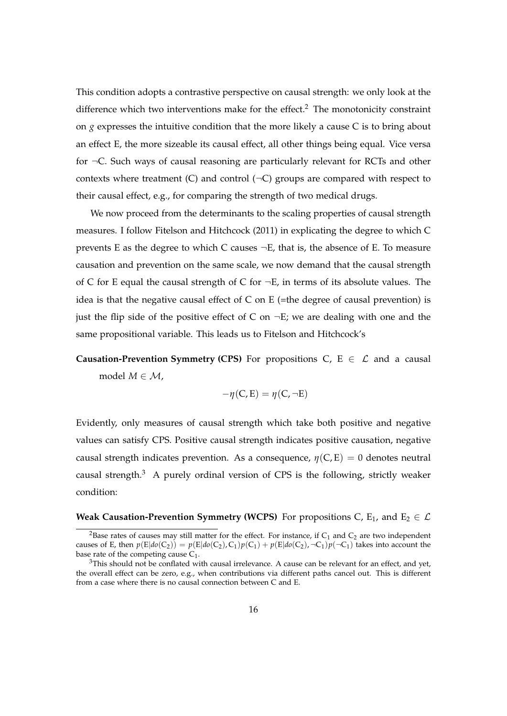This condition adopts a contrastive perspective on causal strength: we only look at the difference which two interventions make for the effect.<sup>2</sup> The monotonicity constraint on *g* expresses the intuitive condition that the more likely a cause C is to bring about an effect E, the more sizeable its causal effect, all other things being equal. Vice versa for ¬C. Such ways of causal reasoning are particularly relevant for RCTs and other contexts where treatment (C) and control  $(\neg C)$  groups are compared with respect to their causal effect, e.g., for comparing the strength of two medical drugs.

We now proceed from the determinants to the scaling properties of causal strength measures. I follow Fitelson and Hitchcock (2011) in explicating the degree to which C prevents E as the degree to which C causes  $\neg E$ , that is, the absence of E. To measure causation and prevention on the same scale, we now demand that the causal strength of C for E equal the causal strength of C for  $\neg E$ , in terms of its absolute values. The idea is that the negative causal effect of  $C$  on  $E$  (=the degree of causal prevention) is just the flip side of the positive effect of C on  $\neg E$ ; we are dealing with one and the same propositional variable. This leads us to Fitelson and Hitchcock's

**Causation-Prevention Symmetry (CPS)** For propositions C,  $E \in \mathcal{L}$  and a causal model  $M \in \mathcal{M}$ ,

$$
-\eta(C,E) = \eta(C, \neg E)
$$

Evidently, only measures of causal strength which take both positive and negative values can satisfy CPS. Positive causal strength indicates positive causation, negative causal strength indicates prevention. As a consequence,  $\eta(C, E) = 0$  denotes neutral causal strength.<sup>3</sup> A purely ordinal version of CPS is the following, strictly weaker condition:

#### **Weak Causation-Prevention Symmetry (WCPS)** For propositions C,  $E_1$ , and  $E_2 \in \mathcal{L}$

<sup>&</sup>lt;sup>2</sup>Base rates of causes may still matter for the effect. For instance, if  $C_1$  and  $C_2$  are two independent causes of E, then  $p(E|do(C_2)) = p(E|do(C_2), C_1)p(C_1) + p(E|do(C_2), C_1)p(\neg C_1)$  takes into account the base rate of the competing cause  $C_1$ .

 $3$ This should not be conflated with causal irrelevance. A cause can be relevant for an effect, and yet, the overall effect can be zero, e.g., when contributions via different paths cancel out. This is different from a case where there is no causal connection between C and E.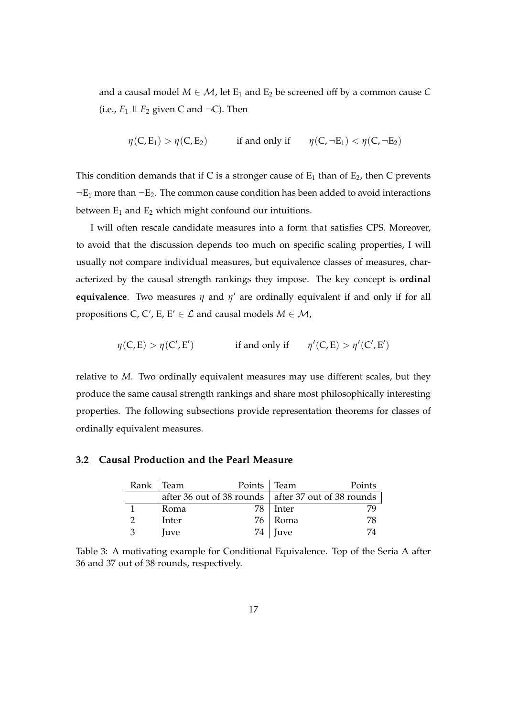and a causal model  $M \in \mathcal{M}$ , let  $E_1$  and  $E_2$  be screened off by a common cause C (i.e.,  $E_1 \perp E_2$  given C and  $\neg$ C). Then

$$
\eta(C, E_1) > \eta(C, E_2)
$$
 if and only if  $\eta(C, \neg E_1) < \eta(C, \neg E_2)$ 

This condition demands that if C is a stronger cause of  $E_1$  than of  $E_2$ , then C prevents  $\neg E_1$  more than  $\neg E_2$ . The common cause condition has been added to avoid interactions between  $E_1$  and  $E_2$  which might confound our intuitions.

I will often rescale candidate measures into a form that satisfies CPS. Moreover, to avoid that the discussion depends too much on specific scaling properties, I will usually not compare individual measures, but equivalence classes of measures, characterized by the causal strength rankings they impose. The key concept is **ordinal equivalence**. Two measures  $\eta$  and  $\eta'$  are ordinally equivalent if and only if for all propositions C, C', E, E'  $\in \mathcal{L}$  and causal models  $M \in \mathcal{M}$ ,

$$
\eta(C,E) > \eta(C',E')
$$
 if and only if  $\eta'(C,E) > \eta'(C',E')$ 

relative to *M*. Two ordinally equivalent measures may use different scales, but they produce the same causal strength rankings and share most philosophically interesting properties. The following subsections provide representation theorems for classes of ordinally equivalent measures.

#### **3.2 Causal Production and the Pearl Measure**

|   | Rank   Team | Points   Team |                                                       | Points |  |  |
|---|-------------|---------------|-------------------------------------------------------|--------|--|--|
|   |             |               | after 36 out of 38 rounds   after 37 out of 38 rounds |        |  |  |
|   | Roma        | 78            | Inter                                                 |        |  |  |
|   | Inter       |               | 76 Roma                                               | 78     |  |  |
| 3 | Juve        |               | $74$   Juve                                           | 74     |  |  |

Table 3: A motivating example for Conditional Equivalence. Top of the Seria A after 36 and 37 out of 38 rounds, respectively.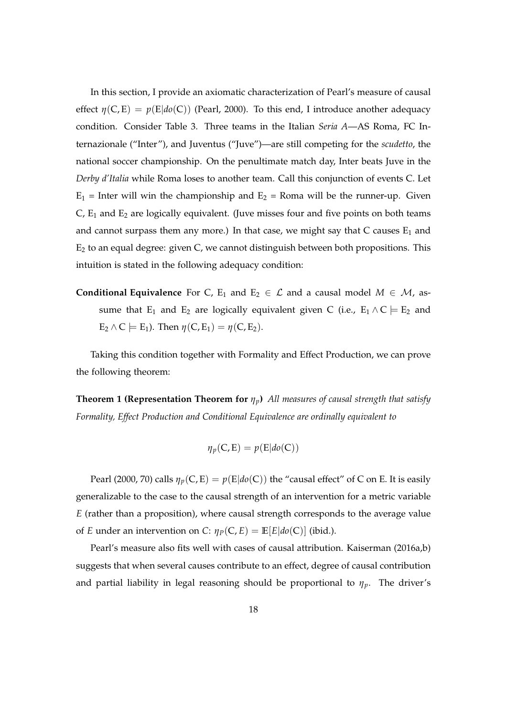In this section, I provide an axiomatic characterization of Pearl's measure of causal effect  $\eta(C, E) = p(E|do(C))$  (Pearl, 2000). To this end, I introduce another adequacy condition. Consider Table 3. Three teams in the Italian *Seria A*—AS Roma, FC Internazionale ("Inter"), and Juventus ("Juve")—are still competing for the *scudetto*, the national soccer championship. On the penultimate match day, Inter beats Juve in the *Derby d'Italia* while Roma loses to another team. Call this conjunction of events C. Let  $E_1$  = Inter will win the championship and  $E_2$  = Roma will be the runner-up. Given  $C$ ,  $E_1$  and  $E_2$  are logically equivalent. (Juve misses four and five points on both teams and cannot surpass them any more.) In that case, we might say that  $C$  causes  $E_1$  and E<sup>2</sup> to an equal degree: given C, we cannot distinguish between both propositions. This intuition is stated in the following adequacy condition:

**Conditional Equivalence** For C, E<sub>1</sub> and E<sub>2</sub>  $\in \mathcal{L}$  and a causal model  $M \in \mathcal{M}$ , assume that E<sub>1</sub> and E<sub>2</sub> are logically equivalent given C (i.e., E<sub>1</sub>  $\wedge$  C  $\models$  E<sub>2</sub> and  $E_2 \wedge C \models E_1$ ). Then  $\eta(C, E_1) = \eta(C, E_2)$ .

Taking this condition together with Formality and Effect Production, we can prove the following theorem:

**Theorem 1 (Representation Theorem for** *ηp***)** *All measures of causal strength that satisfy Formality, Effect Production and Conditional Equivalence are ordinally equivalent to*

$$
\eta_p(C,E) = p(E|do(C))
$$

Pearl (2000, 70) calls  $\eta_p(C, E) = p(E|do(C))$  the "causal effect" of C on E. It is easily generalizable to the case to the causal strength of an intervention for a metric variable *E* (rather than a proposition), where causal strength corresponds to the average value of *E* under an intervention on *C*:  $\eta_P(C, E) = \mathbb{E}[E|do(C)]$  (ibid.).

Pearl's measure also fits well with cases of causal attribution. Kaiserman (2016a,b) suggests that when several causes contribute to an effect, degree of causal contribution and partial liability in legal reasoning should be proportional to *ηp*. The driver's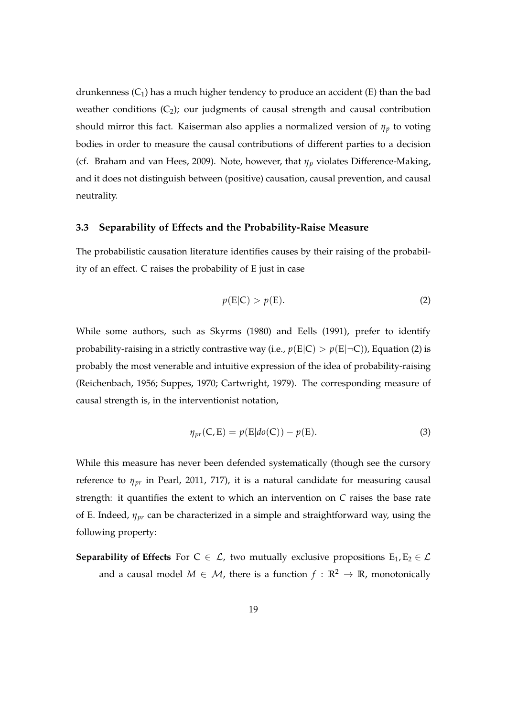drunkenness  $(C_1)$  has a much higher tendency to produce an accident  $(E)$  than the bad weather conditions  $(C_2)$ ; our judgments of causal strength and causal contribution should mirror this fact. Kaiserman also applies a normalized version of  $\eta_p$  to voting bodies in order to measure the causal contributions of different parties to a decision (cf. Braham and van Hees, 2009). Note, however, that *η<sup>p</sup>* violates Difference-Making, and it does not distinguish between (positive) causation, causal prevention, and causal neutrality.

#### **3.3 Separability of Effects and the Probability-Raise Measure**

The probabilistic causation literature identifies causes by their raising of the probability of an effect. C raises the probability of E just in case

$$
p(E|C) > p(E). \tag{2}
$$

While some authors, such as Skyrms (1980) and Eells (1991), prefer to identify probability-raising in a strictly contrastive way (i.e.,  $p(E|C) > p(E|\neg C)$ ), Equation (2) is probably the most venerable and intuitive expression of the idea of probability-raising (Reichenbach, 1956; Suppes, 1970; Cartwright, 1979). The corresponding measure of causal strength is, in the interventionist notation,

$$
\eta_{pr}(C, E) = p(E|do(C)) - p(E). \tag{3}
$$

While this measure has never been defended systematically (though see the cursory reference to *ηpr* in Pearl, 2011, 717), it is a natural candidate for measuring causal strength: it quantifies the extent to which an intervention on *C* raises the base rate of E. Indeed, *ηpr* can be characterized in a simple and straightforward way, using the following property:

**Separability of Effects** For  $C \in \mathcal{L}$ , two mutually exclusive propositions  $E_1, E_2 \in \mathcal{L}$ and a causal model  $M \in \mathcal{M}$ , there is a function  $f : \mathbb{R}^2 \to \mathbb{R}$ , monotonically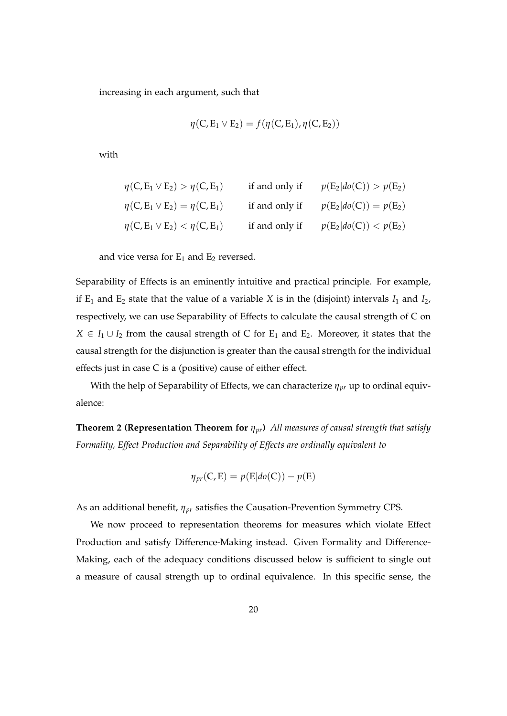increasing in each argument, such that

$$
\eta(C,E_1\vee E_2)=f(\eta(C,E_1),\eta(C,E_2))
$$

with

$$
\eta(C, E_1 \vee E_2) > \eta(C, E_1) \quad \text{if and only if} \quad p(E_2|do(C)) > p(E_2)
$$
  

$$
\eta(C, E_1 \vee E_2) = \eta(C, E_1) \quad \text{if and only if} \quad p(E_2|do(C)) = p(E_2)
$$
  

$$
\eta(C, E_1 \vee E_2) < \eta(C, E_1) \quad \text{if and only if} \quad p(E_2|do(C)) < p(E_2)
$$

and vice versa for  $E_1$  and  $E_2$  reversed.

Separability of Effects is an eminently intuitive and practical principle. For example, if  $E_1$  and  $E_2$  state that the value of a variable *X* is in the (disjoint) intervals  $I_1$  and  $I_2$ , respectively, we can use Separability of Effects to calculate the causal strength of C on  $X \in I_1 \cup I_2$  from the causal strength of C for E<sub>1</sub> and E<sub>2</sub>. Moreover, it states that the causal strength for the disjunction is greater than the causal strength for the individual effects just in case C is a (positive) cause of either effect.

With the help of Separability of Effects, we can characterize *ηpr* up to ordinal equivalence:

**Theorem 2 (Representation Theorem for** *ηpr***)** *All measures of causal strength that satisfy Formality, Effect Production and Separability of Effects are ordinally equivalent to*

$$
\eta_{pr}(C,E) = p(E|do(C)) - p(E)
$$

As an additional benefit, *ηpr* satisfies the Causation-Prevention Symmetry CPS.

We now proceed to representation theorems for measures which violate Effect Production and satisfy Difference-Making instead. Given Formality and Difference-Making, each of the adequacy conditions discussed below is sufficient to single out a measure of causal strength up to ordinal equivalence. In this specific sense, the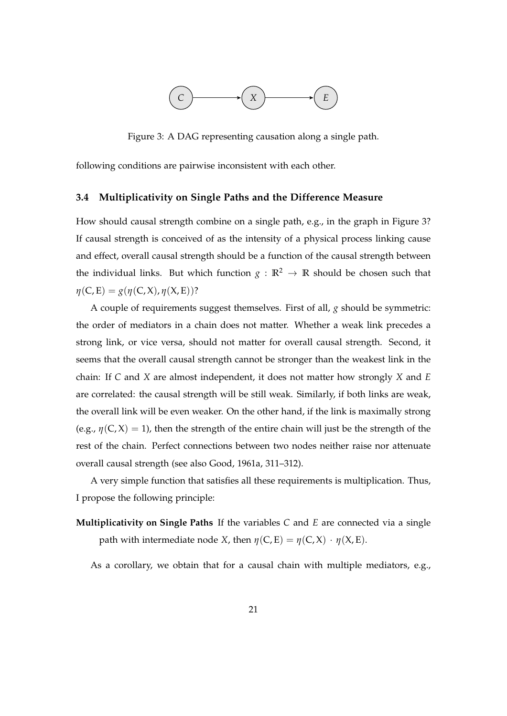

Figure 3: A DAG representing causation along a single path.

following conditions are pairwise inconsistent with each other.

#### **3.4 Multiplicativity on Single Paths and the Difference Measure**

How should causal strength combine on a single path, e.g., in the graph in Figure 3? If causal strength is conceived of as the intensity of a physical process linking cause and effect, overall causal strength should be a function of the causal strength between the individual links. But which function  $g : \mathbb{R}^2 \to \mathbb{R}$  should be chosen such that *η*(C, E) = *g*(*η*(C, X), *η*(X, E))?

A couple of requirements suggest themselves. First of all, *g* should be symmetric: the order of mediators in a chain does not matter. Whether a weak link precedes a strong link, or vice versa, should not matter for overall causal strength. Second, it seems that the overall causal strength cannot be stronger than the weakest link in the chain: If *C* and *X* are almost independent, it does not matter how strongly *X* and *E* are correlated: the causal strength will be still weak. Similarly, if both links are weak, the overall link will be even weaker. On the other hand, if the link is maximally strong (e.g.,  $\eta$ (C, X) = 1), then the strength of the entire chain will just be the strength of the rest of the chain. Perfect connections between two nodes neither raise nor attenuate overall causal strength (see also Good, 1961a, 311–312).

A very simple function that satisfies all these requirements is multiplication. Thus, I propose the following principle:

**Multiplicativity on Single Paths** If the variables *C* and *E* are connected via a single path with intermediate node *X*, then  $\eta$ (*C*, *E*) =  $\eta$ (*C*, *X*) ·  $\eta$ (*X*, *E*).

As a corollary, we obtain that for a causal chain with multiple mediators, e.g.,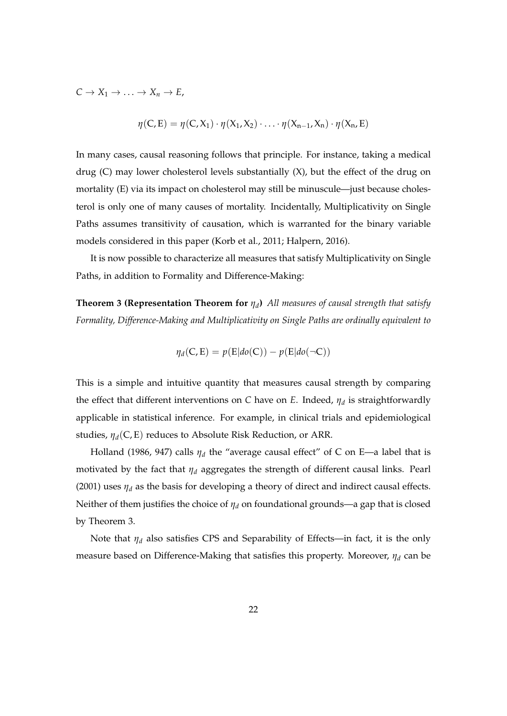$C \to X_1 \to \ldots \to X_n \to E$ ,

$$
\eta(C,E) = \eta(C,X_1) \cdot \eta(X_1,X_2) \cdot \ldots \cdot \eta(X_{n-1},X_n) \cdot \eta(X_n,E)
$$

In many cases, causal reasoning follows that principle. For instance, taking a medical drug (C) may lower cholesterol levels substantially (X), but the effect of the drug on mortality (E) via its impact on cholesterol may still be minuscule—just because cholesterol is only one of many causes of mortality. Incidentally, Multiplicativity on Single Paths assumes transitivity of causation, which is warranted for the binary variable models considered in this paper (Korb et al., 2011; Halpern, 2016).

It is now possible to characterize all measures that satisfy Multiplicativity on Single Paths, in addition to Formality and Difference-Making:

**Theorem 3 (Representation Theorem for** *η<sup>d</sup>* **)** *All measures of causal strength that satisfy Formality, Difference-Making and Multiplicativity on Single Paths are ordinally equivalent to*

$$
\eta_d(C, E) = p(E|do(C)) - p(E|do(\neg C))
$$

This is a simple and intuitive quantity that measures causal strength by comparing the effect that different interventions on *C* have on *E*. Indeed, *η<sup>d</sup>* is straightforwardly applicable in statistical inference. For example, in clinical trials and epidemiological studies, *ηd*(C, E) reduces to Absolute Risk Reduction, or ARR.

Holland (1986, 947) calls *η<sup>d</sup>* the "average causal effect" of C on E—a label that is motivated by the fact that *η<sup>d</sup>* aggregates the strength of different causal links. Pearl (2001) uses  $\eta_d$  as the basis for developing a theory of direct and indirect causal effects. Neither of them justifies the choice of *η<sup>d</sup>* on foundational grounds—a gap that is closed by Theorem 3.

Note that *η<sup>d</sup>* also satisfies CPS and Separability of Effects—in fact, it is the only measure based on Difference-Making that satisfies this property. Moreover, *η<sup>d</sup>* can be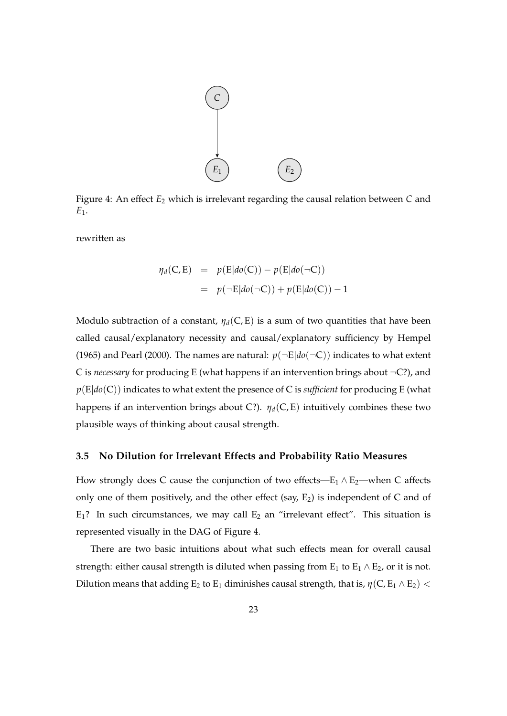

Figure 4: An effect  $E_2$  which is irrelevant regarding the causal relation between *C* and *E*1.

rewritten as

$$
\eta_d(C, E) = p(E|do(C)) - p(E|do(\neg C))
$$
  
=  $p(\neg E|do(\neg C)) + p(E|do(C)) - 1$ 

Modulo subtraction of a constant,  $\eta_d(C, E)$  is a sum of two quantities that have been called causal/explanatory necessity and causal/explanatory sufficiency by Hempel (1965) and Pearl (2000). The names are natural:  $p(\neg E|do(\neg C))$  indicates to what extent C is *necessary* for producing E (what happens if an intervention brings about ¬C?), and *p*(E|*do*(C)) indicates to what extent the presence of C is *sufficient* for producing E (what happens if an intervention brings about C?).  $\eta_d(C, E)$  intuitively combines these two plausible ways of thinking about causal strength.

#### **3.5 No Dilution for Irrelevant Effects and Probability Ratio Measures**

How strongly does C cause the conjunction of two effects—E<sub>1</sub>  $\land$  E<sub>2</sub>—when C affects only one of them positively, and the other effect (say,  $E_2$ ) is independent of C and of  $E_1$ ? In such circumstances, we may call  $E_2$  an "irrelevant effect". This situation is represented visually in the DAG of Figure 4.

There are two basic intuitions about what such effects mean for overall causal strength: either causal strength is diluted when passing from  $E_1$  to  $E_1 \wedge E_2$ , or it is not. Dilution means that adding  $E_2$  to  $E_1$  diminishes causal strength, that is,  $\eta$ (C,  $E_1 \wedge E_2$ ) <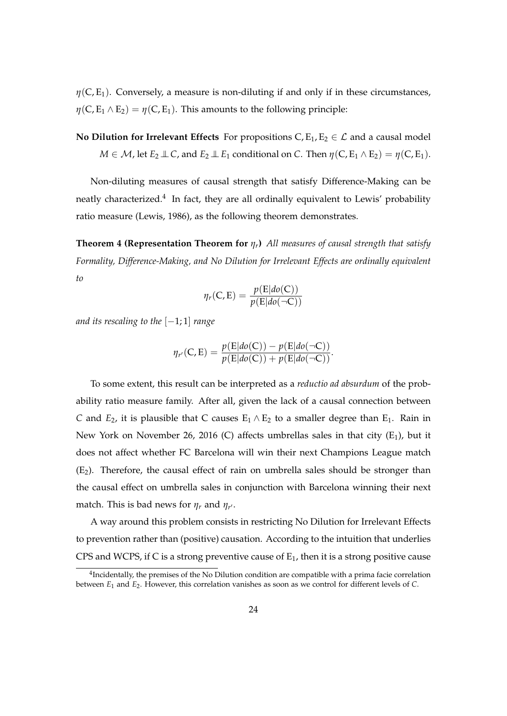$\eta$ (C, E<sub>1</sub>). Conversely, a measure is non-diluting if and only if in these circumstances,  $\eta(C, E_1 \wedge E_2) = \eta(C, E_1)$ . This amounts to the following principle:

**No Dilution for Irrelevant Effects** For propositions  $C, E_1, E_2 \in \mathcal{L}$  and a causal model  $M \in \mathcal{M}$ , let  $E_2 \perp \!\!\! \perp C$ , and  $E_2 \perp \!\!\! \perp E_1$  conditional on *C*. Then  $\eta(C, E_1 \wedge E_2) = \eta(C, E_1)$ .

Non-diluting measures of causal strength that satisfy Difference-Making can be neatly characterized.<sup>4</sup> In fact, they are all ordinally equivalent to Lewis' probability ratio measure (Lewis, 1986), as the following theorem demonstrates.

**Theorem 4 (Representation Theorem for** *ηr***)** *All measures of causal strength that satisfy Formality, Difference-Making, and No Dilution for Irrelevant Effects are ordinally equivalent to*

$$
\eta_r(C,E) = \frac{p(E|do(C))}{p(E|do(\neg C))}
$$

*and its rescaling to the* [−1; 1] *range*

$$
\eta_{r'}(C,E) = \frac{p(E|do(C)) - p(E|do(\neg C))}{p(E|do(C)) + p(E|do(\neg C))}.
$$

To some extent, this result can be interpreted as a *reductio ad absurdum* of the probability ratio measure family. After all, given the lack of a causal connection between *C* and  $E_2$ , it is plausible that *C* causes  $E_1 \wedge E_2$  to a smaller degree than  $E_1$ . Rain in New York on November 26, 2016 (C) affects umbrellas sales in that city  $(E_1)$ , but it does not affect whether FC Barcelona will win their next Champions League match  $(E_2)$ . Therefore, the causal effect of rain on umbrella sales should be stronger than the causal effect on umbrella sales in conjunction with Barcelona winning their next match. This is bad news for  $\eta_r$  and  $\eta_{r'}$ .

A way around this problem consists in restricting No Dilution for Irrelevant Effects to prevention rather than (positive) causation. According to the intuition that underlies CPS and WCPS, if C is a strong preventive cause of  $E_1$ , then it is a strong positive cause

 $^{4}$ Incidentally, the premises of the No Dilution condition are compatible with a prima facie correlation between *E*<sub>1</sub> and *E*<sub>2</sub>. However, this correlation vanishes as soon as we control for different levels of *C*.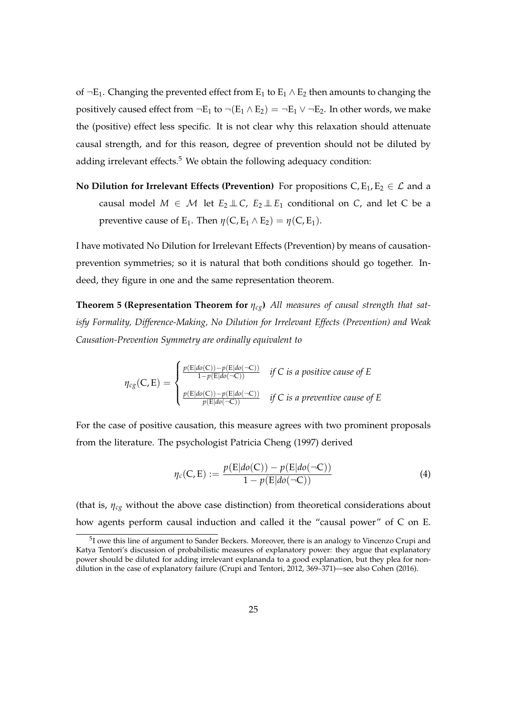of  $\neg E_1$ . Changing the prevented effect from  $E_1$  to  $E_1 \wedge E_2$  then amounts to changing the positively caused effect from  $\neg E_1$  to  $\neg (E_1 \wedge E_2) = \neg E_1 \vee \neg E_2$ . In other words, we make the (positive) effect less specific. It is not clear why this relaxation should attenuate causal strength, and for this reason, degree of prevention should not be diluted by adding irrelevant effects. $5$  We obtain the following adequacy condition:

**No Dilution for Irrelevant Effects (Prevention)** For propositions  $C, E_1, E_2 \in \mathcal{L}$  and a causal model  $M \in \mathcal{M}$  let  $E_2 \perp \!\!\! \perp C$ ,  $E_2 \perp \!\!\! \perp E_1$  conditional on *C*, and let *C* be a preventive cause of E<sub>1</sub>. Then  $\eta$ (C, E<sub>1</sub>  $\land$  E<sub>2</sub>) =  $\eta$ (C, E<sub>1</sub>).

I have motivated No Dilution for Irrelevant Effects (Prevention) by means of causationprevention symmetries; so it is natural that both conditions should go together. Indeed, they figure in one and the same representation theorem.

**Theorem 5 (Representation Theorem for** *ηcg***)** *All measures of causal strength that satisfy Formality, Difference-Making, No Dilution for Irrelevant Effects (Prevention) and Weak Causation-Prevention Symmetry are ordinally equivalent to*

$$
\eta_{cg}(C,E) = \begin{cases} \frac{p(E|do(C)) - p(E|do(\neg C))}{1 - p(E|do(\neg C))} & \text{if } C \text{ is a positive cause of } E \\ \frac{p(E|do(C)) - p(E|do(\neg C))}{p(E|do(\neg C))} & \text{if } C \text{ is a preventive cause of } E \end{cases}
$$

For the case of positive causation, this measure agrees with two prominent proposals from the literature. The psychologist Patricia Cheng (1997) derived

$$
\eta_c(C, E) := \frac{p(E|do(C)) - p(E|do(\neg C))}{1 - p(E|do(\neg C))} \tag{4}
$$

(that is, *ηcg* without the above case distinction) from theoretical considerations about how agents perform causal induction and called it the "causal power" of C on E.

 $5$ I owe this line of argument to Sander Beckers. Moreover, there is an analogy to Vincenzo Crupi and Katya Tentori's discussion of probabilistic measures of explanatory power: they argue that explanatory power should be diluted for adding irrelevant explananda to a good explanation, but they plea for nondilution in the case of explanatory failure (Crupi and Tentori, 2012, 369–371)—see also Cohen (2016).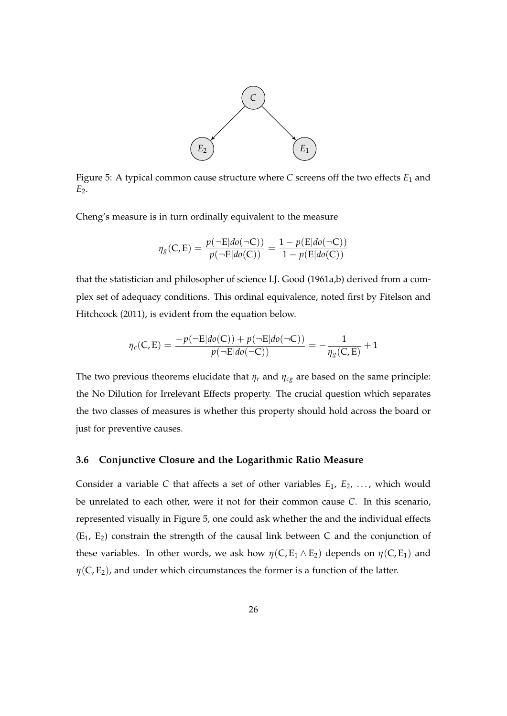

Figure 5: A typical common cause structure where *C* screens off the two effects *E*<sup>1</sup> and *E*2.

Cheng's measure is in turn ordinally equivalent to the measure

$$
\eta_{g}(C,E) = \frac{p(\neg E|do(\neg C))}{p(\neg E|do(C))} = \frac{1 - p(E|do(\neg C))}{1 - p(E|do(C))}
$$

that the statistician and philosopher of science I.J. Good (1961a,b) derived from a complex set of adequacy conditions. This ordinal equivalence, noted first by Fitelson and Hitchcock (2011), is evident from the equation below.

$$
\eta_c(C,E) = \frac{-p(\neg E|do(C)) + p(\neg E|do(\neg C))}{p(\neg E|do(\neg C))} = -\frac{1}{\eta_g(C,E)} + 1
$$

The two previous theorems elucidate that  $\eta_r$  and  $\eta_{cg}$  are based on the same principle: the No Dilution for Irrelevant Effects property. The crucial question which separates the two classes of measures is whether this property should hold across the board or just for preventive causes.

#### **3.6 Conjunctive Closure and the Logarithmic Ratio Measure**

Consider a variable C that affects a set of other variables  $E_1, E_2, \ldots$ , which would be unrelated to each other, were it not for their common cause *C*. In this scenario, represented visually in Figure 5, one could ask whether the and the individual effects  $(E_1, E_2)$  constrain the strength of the causal link between C and the conjunction of these variables. In other words, we ask how  $\eta(C, E_1 \wedge E_2)$  depends on  $\eta(C, E_1)$  and  $\eta$ (C, E<sub>2</sub>), and under which circumstances the former is a function of the latter.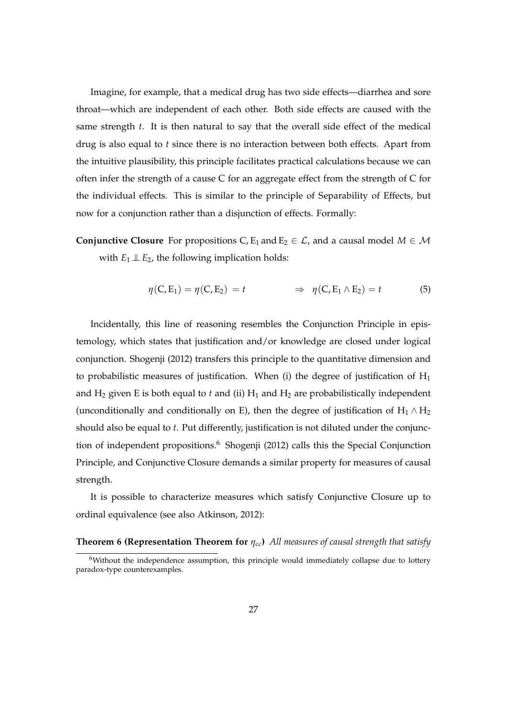Imagine, for example, that a medical drug has two side effects—diarrhea and sore throat—which are independent of each other. Both side effects are caused with the same strength *t*. It is then natural to say that the overall side effect of the medical drug is also equal to *t* since there is no interaction between both effects. Apart from the intuitive plausibility, this principle facilitates practical calculations because we can often infer the strength of a cause C for an aggregate effect from the strength of C for the individual effects. This is similar to the principle of Separability of Effects, but now for a conjunction rather than a disjunction of effects. Formally:

**Conjunctive Closure** For propositions C, E<sub>1</sub> and E<sub>2</sub>  $\in \mathcal{L}$ , and a causal model  $M \in \mathcal{M}$ with  $E_1 \perp E_2$ , the following implication holds:

$$
\eta(C, E_1) = \eta(C, E_2) = t \qquad \Rightarrow \eta(C, E_1 \wedge E_2) = t \qquad (5)
$$

Incidentally, this line of reasoning resembles the Conjunction Principle in epistemology, which states that justification and/or knowledge are closed under logical conjunction. Shogenji (2012) transfers this principle to the quantitative dimension and to probabilistic measures of justification. When (i) the degree of justification of  $H_1$ and  $H_2$  given E is both equal to  $t$  and (ii)  $H_1$  and  $H_2$  are probabilistically independent (unconditionally and conditionally on E), then the degree of justification of  $H_1 \wedge H_2$ should also be equal to *t*. Put differently, justification is not diluted under the conjunction of independent propositions.<sup>6</sup> Shogenji (2012) calls this the Special Conjunction Principle, and Conjunctive Closure demands a similar property for measures of causal strength.

It is possible to characterize measures which satisfy Conjunctive Closure up to ordinal equivalence (see also Atkinson, 2012):

#### **Theorem 6 (Representation Theorem for** *ηcc***)** *All measures of causal strength that satisfy*

 $6$ Without the independence assumption, this principle would immediately collapse due to lottery paradox-type counterexamples.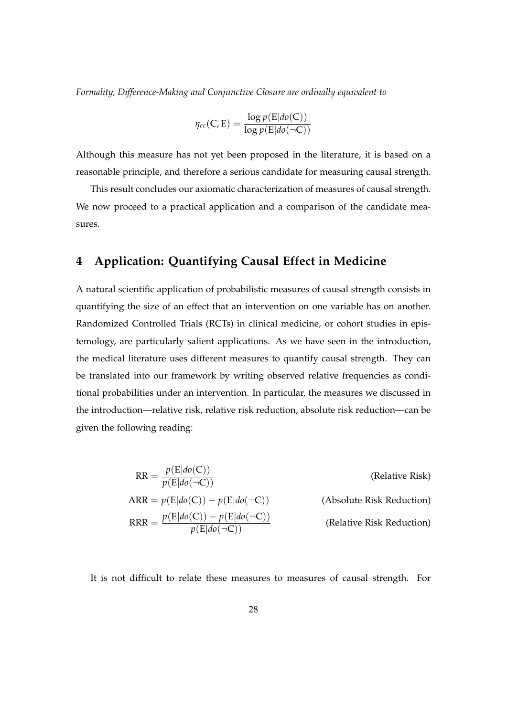*Formality, Difference-Making and Conjunctive Closure are ordinally equivalent to*

$$
\eta_{cc}(C, E) = \frac{\log p(E|do(C))}{\log p(E|do(\neg C))}
$$

Although this measure has not yet been proposed in the literature, it is based on a reasonable principle, and therefore a serious candidate for measuring causal strength.

This result concludes our axiomatic characterization of measures of causal strength. We now proceed to a practical application and a comparison of the candidate measures.

## **4 Application: Quantifying Causal Effect in Medicine**

A natural scientific application of probabilistic measures of causal strength consists in quantifying the size of an effect that an intervention on one variable has on another. Randomized Controlled Trials (RCTs) in clinical medicine, or cohort studies in epistemology, are particularly salient applications. As we have seen in the introduction, the medical literature uses different measures to quantify causal strength. They can be translated into our framework by writing observed relative frequencies as conditional probabilities under an intervention. In particular, the measures we discussed in the introduction—relative risk, relative risk reduction, absolute risk reduction—can be given the following reading:

$$
RR = \frac{p(E|do(C))}{p(E|do(\neg C))}
$$
 (Relative Risk)  
ARR =  $p(E|do(C)) - p(E|do(\neg C))$  (Absolute Risk Reduction)  
RRR =  $\frac{p(E|do(C)) - p(E|do(\neg C))}{p(E|do(\neg C))}$  (Relative Risk Reduction)

It is not difficult to relate these measures to measures of causal strength. For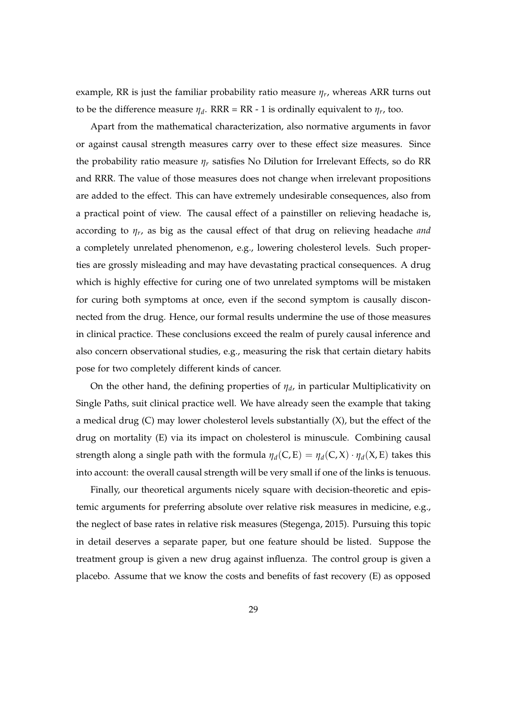example, RR is just the familiar probability ratio measure *η<sup>r</sup>* , whereas ARR turns out to be the difference measure  $\eta_d$ . RRR = RR - 1 is ordinally equivalent to  $\eta_r$ , too.

Apart from the mathematical characterization, also normative arguments in favor or against causal strength measures carry over to these effect size measures. Since the probability ratio measure *η<sup>r</sup>* satisfies No Dilution for Irrelevant Effects, so do RR and RRR. The value of those measures does not change when irrelevant propositions are added to the effect. This can have extremely undesirable consequences, also from a practical point of view. The causal effect of a painstiller on relieving headache is, according to *η<sup>r</sup>* , as big as the causal effect of that drug on relieving headache *and* a completely unrelated phenomenon, e.g., lowering cholesterol levels. Such properties are grossly misleading and may have devastating practical consequences. A drug which is highly effective for curing one of two unrelated symptoms will be mistaken for curing both symptoms at once, even if the second symptom is causally disconnected from the drug. Hence, our formal results undermine the use of those measures in clinical practice. These conclusions exceed the realm of purely causal inference and also concern observational studies, e.g., measuring the risk that certain dietary habits pose for two completely different kinds of cancer.

On the other hand, the defining properties of *η<sup>d</sup>* , in particular Multiplicativity on Single Paths, suit clinical practice well. We have already seen the example that taking a medical drug (C) may lower cholesterol levels substantially (X), but the effect of the drug on mortality (E) via its impact on cholesterol is minuscule. Combining causal strength along a single path with the formula  $\eta_d(C, E) = \eta_d(C, X) \cdot \eta_d(X, E)$  takes this into account: the overall causal strength will be very small if one of the links is tenuous.

Finally, our theoretical arguments nicely square with decision-theoretic and epistemic arguments for preferring absolute over relative risk measures in medicine, e.g., the neglect of base rates in relative risk measures (Stegenga, 2015). Pursuing this topic in detail deserves a separate paper, but one feature should be listed. Suppose the treatment group is given a new drug against influenza. The control group is given a placebo. Assume that we know the costs and benefits of fast recovery (E) as opposed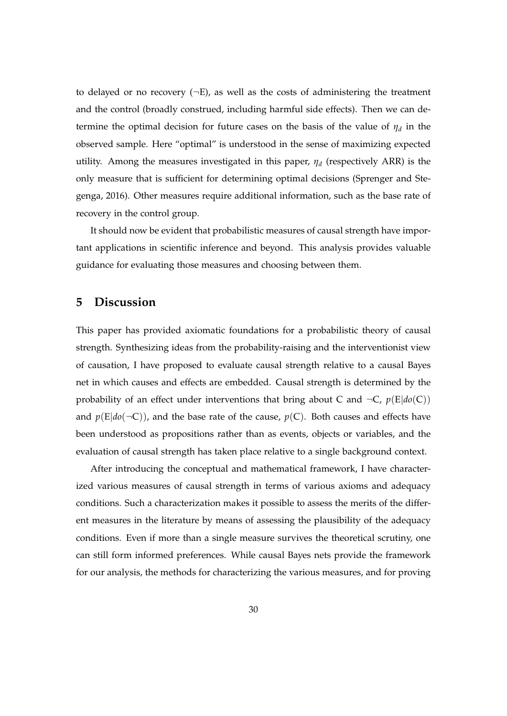to delayed or no recovery  $(-E)$ , as well as the costs of administering the treatment and the control (broadly construed, including harmful side effects). Then we can determine the optimal decision for future cases on the basis of the value of *η<sup>d</sup>* in the observed sample. Here "optimal" is understood in the sense of maximizing expected utility. Among the measures investigated in this paper, *η<sup>d</sup>* (respectively ARR) is the only measure that is sufficient for determining optimal decisions (Sprenger and Stegenga, 2016). Other measures require additional information, such as the base rate of recovery in the control group.

It should now be evident that probabilistic measures of causal strength have important applications in scientific inference and beyond. This analysis provides valuable guidance for evaluating those measures and choosing between them.

## **5 Discussion**

This paper has provided axiomatic foundations for a probabilistic theory of causal strength. Synthesizing ideas from the probability-raising and the interventionist view of causation, I have proposed to evaluate causal strength relative to a causal Bayes net in which causes and effects are embedded. Causal strength is determined by the probability of an effect under interventions that bring about C and  $\neg C$ ,  $p(E|do(C))$ and  $p(E|do(\neg C))$ , and the base rate of the cause,  $p(C)$ . Both causes and effects have been understood as propositions rather than as events, objects or variables, and the evaluation of causal strength has taken place relative to a single background context.

After introducing the conceptual and mathematical framework, I have characterized various measures of causal strength in terms of various axioms and adequacy conditions. Such a characterization makes it possible to assess the merits of the different measures in the literature by means of assessing the plausibility of the adequacy conditions. Even if more than a single measure survives the theoretical scrutiny, one can still form informed preferences. While causal Bayes nets provide the framework for our analysis, the methods for characterizing the various measures, and for proving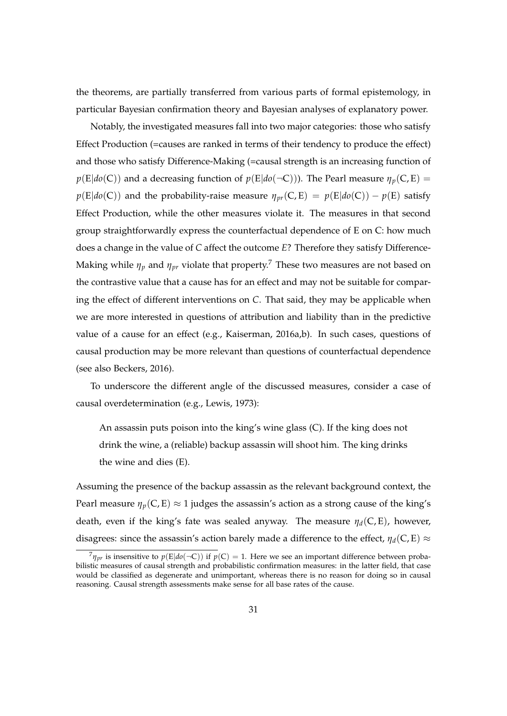the theorems, are partially transferred from various parts of formal epistemology, in particular Bayesian confirmation theory and Bayesian analyses of explanatory power.

Notably, the investigated measures fall into two major categories: those who satisfy Effect Production (=causes are ranked in terms of their tendency to produce the effect) and those who satisfy Difference-Making (=causal strength is an increasing function of  $p(E|do(C))$  and a decreasing function of  $p(E|do(\neg C))$ ). The Pearl measure  $\eta_p(C, E)$  =  $p(E|do(C))$  and the probability-raise measure  $\eta_{pr}(C, E) = p(E|do(C)) - p(E)$  satisfy Effect Production, while the other measures violate it. The measures in that second group straightforwardly express the counterfactual dependence of E on C: how much does a change in the value of *C* affect the outcome *E*? Therefore they satisfy Difference-Making while  $\eta_p$  and  $\eta_{pr}$  violate that property.<sup>7</sup> These two measures are not based on the contrastive value that a cause has for an effect and may not be suitable for comparing the effect of different interventions on *C*. That said, they may be applicable when we are more interested in questions of attribution and liability than in the predictive value of a cause for an effect (e.g., Kaiserman, 2016a,b). In such cases, questions of causal production may be more relevant than questions of counterfactual dependence (see also Beckers, 2016).

To underscore the different angle of the discussed measures, consider a case of causal overdetermination (e.g., Lewis, 1973):

An assassin puts poison into the king's wine glass (C). If the king does not drink the wine, a (reliable) backup assassin will shoot him. The king drinks the wine and dies (E).

Assuming the presence of the backup assassin as the relevant background context, the Pearl measure  $\eta_p(C, E) \approx 1$  judges the assassin's action as a strong cause of the king's death, even if the king's fate was sealed anyway. The measure  $\eta_d(C, E)$ , however, disagrees: since the assassin's action barely made a difference to the effect,  $\eta_d(C, E) \approx$ 

 $^{7}\eta_{pr}$  is insensitive to  $p(E|do(\neg C))$  if  $p(C) = 1$ . Here we see an important difference between probabilistic measures of causal strength and probabilistic confirmation measures: in the latter field, that case would be classified as degenerate and unimportant, whereas there is no reason for doing so in causal reasoning. Causal strength assessments make sense for all base rates of the cause.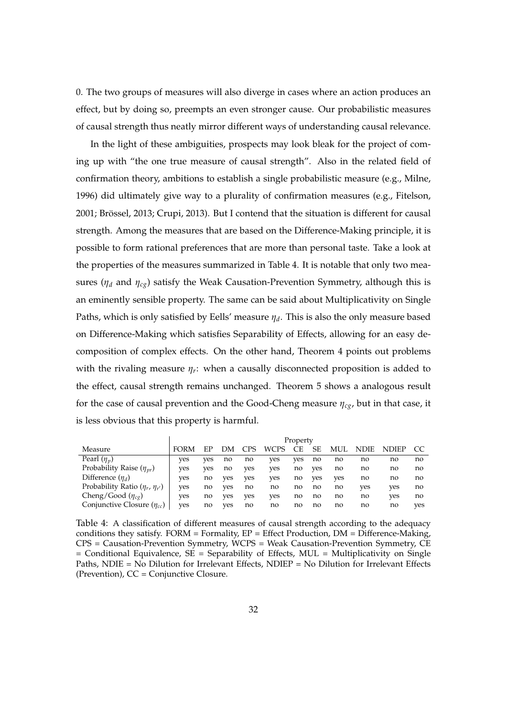0. The two groups of measures will also diverge in cases where an action produces an effect, but by doing so, preempts an even stronger cause. Our probabilistic measures of causal strength thus neatly mirror different ways of understanding causal relevance.

In the light of these ambiguities, prospects may look bleak for the project of coming up with "the one true measure of causal strength". Also in the related field of confirmation theory, ambitions to establish a single probabilistic measure (e.g., Milne, 1996) did ultimately give way to a plurality of confirmation measures (e.g., Fitelson, 2001; Brössel, 2013; Crupi, 2013). But I contend that the situation is different for causal strength. Among the measures that are based on the Difference-Making principle, it is possible to form rational preferences that are more than personal taste. Take a look at the properties of the measures summarized in Table 4. It is notable that only two measures (*η<sup>d</sup>* and *ηcg*) satisfy the Weak Causation-Prevention Symmetry, although this is an eminently sensible property. The same can be said about Multiplicativity on Single Paths, which is only satisfied by Eells' measure *η<sup>d</sup>* . This is also the only measure based on Difference-Making which satisfies Separability of Effects, allowing for an easy decomposition of complex effects. On the other hand, Theorem 4 points out problems with the rivaling measure *η<sup>r</sup>* : when a causally disconnected proposition is added to the effect, causal strength remains unchanged. Theorem 5 shows a analogous result for the case of causal prevention and the Good-Cheng measure *ηcg*, but in that case, it is less obvious that this property is harmful.

|                                         | Property |     |     |      |             |     |     |     |      |       |     |
|-----------------------------------------|----------|-----|-----|------|-------------|-----|-----|-----|------|-------|-----|
| Measure                                 |          |     | DМ  | . PS | <b>WCPS</b> | СE  | SЕ  | MUL | NDIE | NDIEP |     |
| Pearl $(\eta_v)$                        | ves      | ves | no  | no   | ves         | ves | no  | no  | no   | no    | no  |
| Probability Raise $(\eta_{vr})$         | ves      | ves | no  | ves  | ves         | no  | ves | no  | no   | no    | no  |
| Difference $(\eta_d)$                   | ves      | no  | ves | ves  | ves         | no  | ves | ves | no   | no    | no  |
| Probability Ratio $(\eta_r, \eta_{r'})$ | ves      | no  | ves | no   | no          | no  | no  | no  | ves  | ves   | no  |
| Cheng/Good $(\eta_{cg})$                | ves      | no  | ves | ves  | ves         | no  | no  | no  | no   | ves   | no  |
| Conjunctive Closure $(\eta_{cc})$       | ves      | no  | ves | no   | no          | no  | no  | no  | no   | no    | ves |

Table 4: A classification of different measures of causal strength according to the adequacy conditions they satisfy. FORM = Formality, EP = Effect Production, DM = Difference-Making, CPS = Causation-Prevention Symmetry, WCPS = Weak Causation-Prevention Symmetry, CE  $=$  Conditional Equivalence,  $SE =$  Separability of Effects, MUL = Multiplicativity on Single Paths, NDIE = No Dilution for Irrelevant Effects, NDIEP = No Dilution for Irrelevant Effects (Prevention), CC = Conjunctive Closure.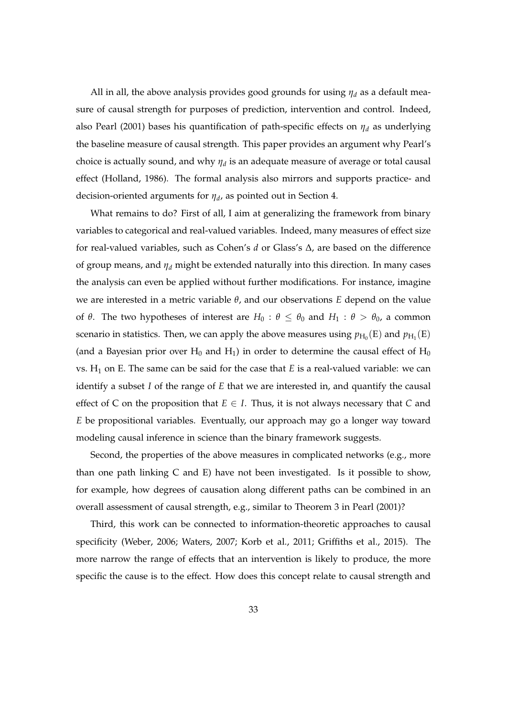All in all, the above analysis provides good grounds for using *η<sup>d</sup>* as a default measure of causal strength for purposes of prediction, intervention and control. Indeed, also Pearl (2001) bases his quantification of path-specific effects on *η<sup>d</sup>* as underlying the baseline measure of causal strength. This paper provides an argument why Pearl's choice is actually sound, and why  $\eta_d$  is an adequate measure of average or total causal effect (Holland, 1986). The formal analysis also mirrors and supports practice- and decision-oriented arguments for *η<sup>d</sup>* , as pointed out in Section 4.

What remains to do? First of all, I aim at generalizing the framework from binary variables to categorical and real-valued variables. Indeed, many measures of effect size for real-valued variables, such as Cohen's *d* or Glass's ∆, are based on the difference of group means, and *η<sup>d</sup>* might be extended naturally into this direction. In many cases the analysis can even be applied without further modifications. For instance, imagine we are interested in a metric variable *θ*, and our observations *E* depend on the value of *θ*. The two hypotheses of interest are  $H_0$ :  $θ \le θ_0$  and  $H_1$ :  $θ > θ_0$ , a common scenario in statistics. Then, we can apply the above measures using  $p_{\rm H_0}(\rm E)$  and  $p_{\rm H_1}(\rm E)$ (and a Bayesian prior over  $H_0$  and  $H_1$ ) in order to determine the causal effect of  $H_0$ vs.  $H_1$  on E. The same can be said for the case that  $E$  is a real-valued variable: we can identify a subset *I* of the range of *E* that we are interested in, and quantify the causal effect of C on the proposition that  $E \in I$ . Thus, it is not always necessary that C and *E* be propositional variables. Eventually, our approach may go a longer way toward modeling causal inference in science than the binary framework suggests.

Second, the properties of the above measures in complicated networks (e.g., more than one path linking C and E) have not been investigated. Is it possible to show, for example, how degrees of causation along different paths can be combined in an overall assessment of causal strength, e.g., similar to Theorem 3 in Pearl (2001)?

Third, this work can be connected to information-theoretic approaches to causal specificity (Weber, 2006; Waters, 2007; Korb et al., 2011; Griffiths et al., 2015). The more narrow the range of effects that an intervention is likely to produce, the more specific the cause is to the effect. How does this concept relate to causal strength and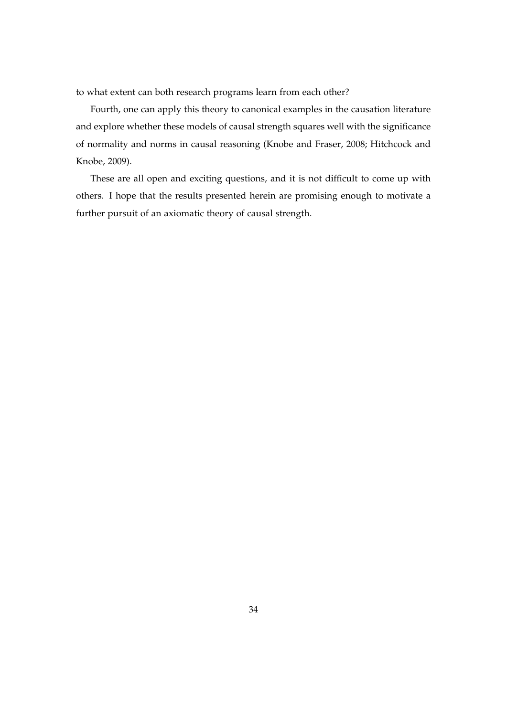to what extent can both research programs learn from each other?

Fourth, one can apply this theory to canonical examples in the causation literature and explore whether these models of causal strength squares well with the significance of normality and norms in causal reasoning (Knobe and Fraser, 2008; Hitchcock and Knobe, 2009).

These are all open and exciting questions, and it is not difficult to come up with others. I hope that the results presented herein are promising enough to motivate a further pursuit of an axiomatic theory of causal strength.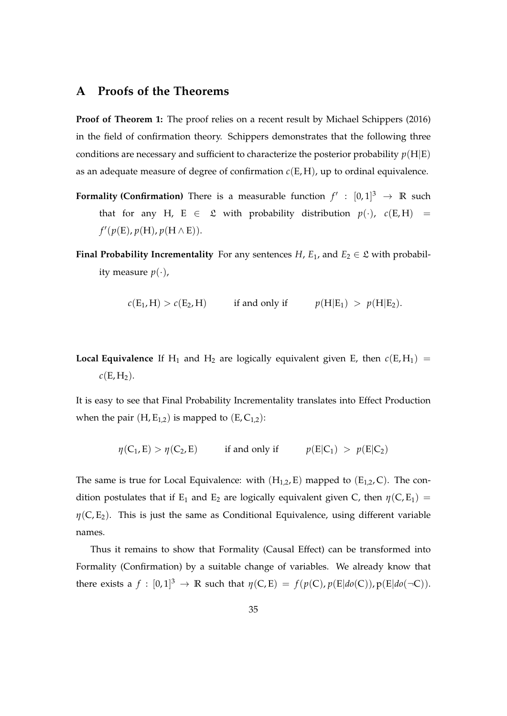## **A Proofs of the Theorems**

**Proof of Theorem 1:** The proof relies on a recent result by Michael Schippers (2016) in the field of confirmation theory. Schippers demonstrates that the following three conditions are necessary and sufficient to characterize the posterior probability  $p(H|E)$ as an adequate measure of degree of confirmation  $c(E, H)$ , up to ordinal equivalence.

- **Formality (Confirmation)** There is a measurable function  $f': [0,1]^3 \rightarrow \mathbb{R}$  such that for any H, E  $\in \mathcal{L}$  with probability distribution  $p(\cdot)$ ,  $c(E,H)$  =  $f'(p(E), p(H), p(H \wedge E)).$
- **Final Probability Incrementality** For any sentences *H*,  $E_1$ , and  $E_2 \in \mathcal{L}$  with probability measure  $p(\cdot)$ ,

$$
c(E_1, H) > c(E_2, H) \quad \text{if and only if} \quad p(H|E_1) > p(H|E_2).
$$

**Local Equivalence** If H<sub>1</sub> and H<sub>2</sub> are logically equivalent given E, then  $c(E, H_1)$  =  $c(E, H_2)$ .

It is easy to see that Final Probability Incrementality translates into Effect Production when the pair  $(H, E_{1,2})$  is mapped to  $(E, C_{1,2})$ :

$$
\eta(C_1, E) > \eta(C_2, E)
$$
 if and only if  $p(E|C_1) > p(E|C_2)$ 

The same is true for Local Equivalence: with  $(H_{1,2}, E)$  mapped to  $(E_{1,2}, C)$ . The condition postulates that if E<sub>1</sub> and E<sub>2</sub> are logically equivalent given C, then  $\eta$ (C, E<sub>1</sub>) = *. This is just the same as Conditional Equivalence, using different variable* names.

Thus it remains to show that Formality (Causal Effect) can be transformed into Formality (Confirmation) by a suitable change of variables. We already know that there exists a  $f : [0,1]^3 \to \mathbb{R}$  such that  $\eta(C,E) = f(p(C), p(E|do(C)), p(E|do(\neg C)).$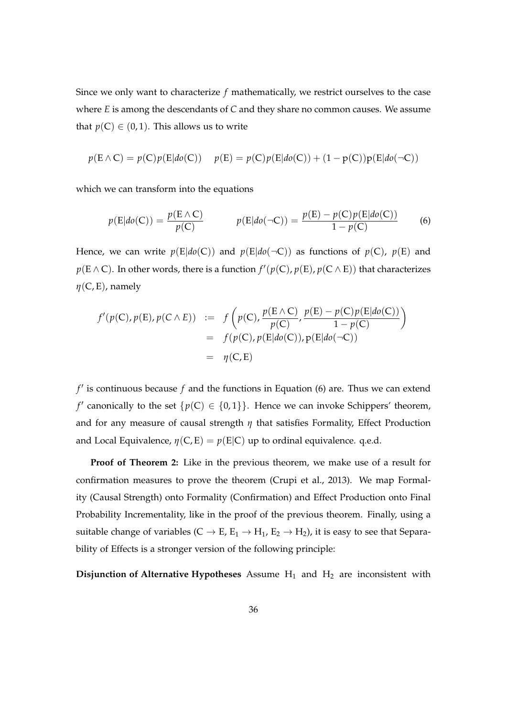Since we only want to characterize *f* mathematically, we restrict ourselves to the case where *E* is among the descendants of *C* and they share no common causes. We assume that  $p(C) \in (0, 1)$ . This allows us to write

$$
p(\mathbf{E} \wedge \mathbf{C}) = p(\mathbf{C})p(\mathbf{E}|do(\mathbf{C})) \quad p(\mathbf{E}) = p(\mathbf{C})p(\mathbf{E}|do(\mathbf{C})) + (1 - p(\mathbf{C}))p(\mathbf{E}|do(\neg \mathbf{C}))
$$

which we can transform into the equations

$$
p(E|do(C)) = \frac{p(E \wedge C)}{p(C)} \qquad p(E|do(\neg C)) = \frac{p(E) - p(C)p(E|do(C))}{1 - p(C)} \tag{6}
$$

Hence, we can write  $p(E|do(C))$  and  $p(E|do(\neg C))$  as functions of  $p(C)$ ,  $p(E)$  and  $p(\text{E} \wedge \text{C})$ . In other words, there is a function  $f'(p(\text{C}), p(\text{E}), p(\text{C} \wedge \text{E}))$  that characterizes *η*(C, E), namely

$$
f'(p(C), p(E), p(C \wedge E)) := f\left(p(C), \frac{p(E \wedge C)}{p(C)}, \frac{p(E) - p(C)p(E|do(C))}{1 - p(C)}\right)
$$
  
=  $f(p(C), p(E|do(C)), p(E|do(\neg C))$   
=  $\eta(C, E)$ 

f' is continuous because f and the functions in Equation (6) are. Thus we can extend *f'* canonically to the set  $\{p(C) \in \{0,1\}\}\$ . Hence we can invoke Schippers' theorem, and for any measure of causal strength *η* that satisfies Formality, Effect Production and Local Equivalence,  $\eta(C, E) = p(E|C)$  up to ordinal equivalence. q.e.d.

**Proof of Theorem 2:** Like in the previous theorem, we make use of a result for confirmation measures to prove the theorem (Crupi et al., 2013). We map Formality (Causal Strength) onto Formality (Confirmation) and Effect Production onto Final Probability Incrementality, like in the proof of the previous theorem. Finally, using a suitable change of variables ( $C \rightarrow E$ ,  $E_1 \rightarrow H_1$ ,  $E_2 \rightarrow H_2$ ), it is easy to see that Separability of Effects is a stronger version of the following principle:

**Disjunction of Alternative Hypotheses** Assume H<sub>1</sub> and H<sub>2</sub> are inconsistent with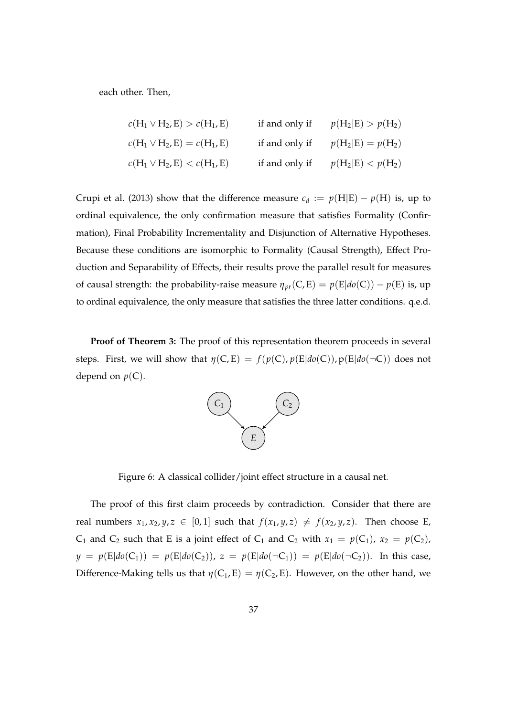each other. Then,

$$
c(H_1 \vee H_2, E) > c(H_1, E) \qquad \text{if and only if} \qquad p(H_2|E) > p(H_2)
$$
  

$$
c(H_1 \vee H_2, E) = c(H_1, E) \qquad \text{if and only if} \qquad p(H_2|E) = p(H_2)
$$
  

$$
c(H_1 \vee H_2, E) < c(H_1, E) \qquad \text{if and only if} \qquad p(H_2|E) < p(H_2)
$$

Crupi et al. (2013) show that the difference measure  $c_d := p(H|E) - p(H)$  is, up to ordinal equivalence, the only confirmation measure that satisfies Formality (Confirmation), Final Probability Incrementality and Disjunction of Alternative Hypotheses. Because these conditions are isomorphic to Formality (Causal Strength), Effect Production and Separability of Effects, their results prove the parallel result for measures of causal strength: the probability-raise measure  $\eta_{vr}(C, E) = p(E|do(C)) - p(E)$  is, up to ordinal equivalence, the only measure that satisfies the three latter conditions. q.e.d.

**Proof of Theorem 3:** The proof of this representation theorem proceeds in several steps. First, we will show that  $\eta(C, E) = f(p(C), p(E|do(C)), p(E|do(\neg C))$  does not depend on  $p(C)$ .



Figure 6: A classical collider/joint effect structure in a causal net.

The proof of this first claim proceeds by contradiction. Consider that there are real numbers  $x_1, x_2, y, z \in [0, 1]$  such that  $f(x_1, y, z) \neq f(x_2, y, z)$ . Then choose E, C<sub>1</sub> and C<sub>2</sub> such that E is a joint effect of C<sub>1</sub> and C<sub>2</sub> with  $x_1 = p(C_1)$ ,  $x_2 = p(C_2)$ ,  $y = p(E|do(C_1)) = p(E|do(C_2))$ ,  $z = p(E|do(\neg C_1)) = p(E|do(\neg C_2))$ . In this case, Difference-Making tells us that  $\eta(C_1, E) = \eta(C_2, E)$ . However, on the other hand, we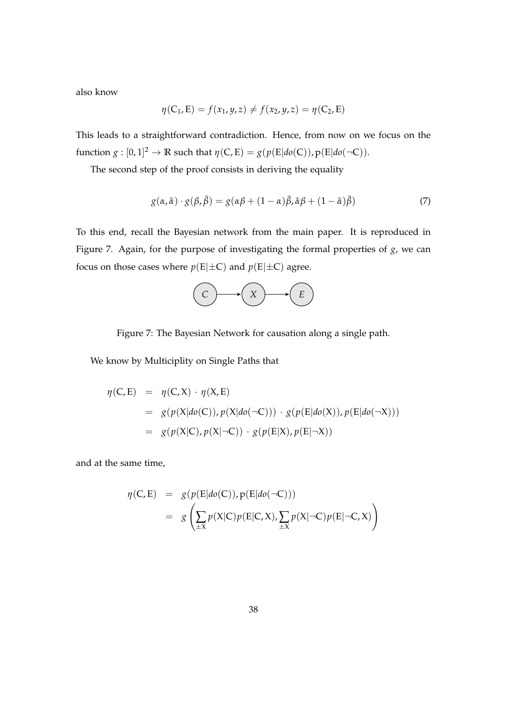also know

$$
\eta(C_1, E) = f(x_1, y, z) \neq f(x_2, y, z) = \eta(C_2, E)
$$

This leads to a straightforward contradiction. Hence, from now on we focus on the function  $g: [0, 1]^2 \to \mathbb{R}$  such that  $\eta(C, E) = g(p(E|do(C)), p(E|do(\neg C)).$ 

The second step of the proof consists in deriving the equality

$$
g(\alpha, \bar{\alpha}) \cdot g(\beta, \bar{\beta}) = g(\alpha\beta + (1 - \alpha)\bar{\beta}, \bar{\alpha}\beta + (1 - \bar{\alpha})\bar{\beta})
$$
\n(7)

To this end, recall the Bayesian network from the main paper. It is reproduced in Figure 7. Again, for the purpose of investigating the formal properties of *g*, we can focus on those cases where  $p(E|\pm C)$  and  $p(E|\pm C)$  agree.



Figure 7: The Bayesian Network for causation along a single path.

We know by Multiciplity on Single Paths that

$$
\eta(C, E) = \eta(C, X) \cdot \eta(X, E)
$$
  
=  $g(p(X|do(C)), p(X|do(\neg C))) \cdot g(p(E|do(X)), p(E|do(\neg X)))$   
=  $g(p(X|C), p(X|\neg C)) \cdot g(p(E|X), p(E|\neg X))$ 

and at the same time,

$$
\eta(C, E) = g(p(E|do(C)), p(E|do(\neg C)))
$$
  
= 
$$
g\left(\sum_{\pm X} p(X|C)p(E|C,X), \sum_{\pm X} p(X|\neg C)p(E|\neg C,X)\right)
$$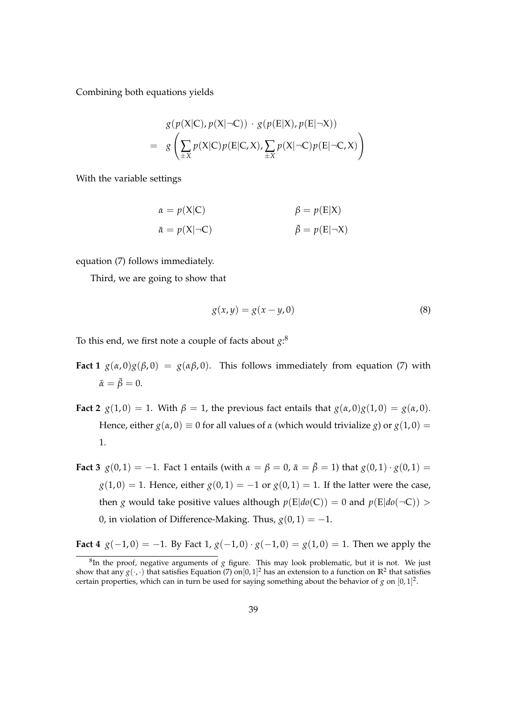Combining both equations yields

$$
g(p(X|C), p(X|\neg C)) \cdot g(p(E|X), p(E|\neg X))
$$
  
= 
$$
g\left(\sum_{\pm X} p(X|C)p(E|C, X), \sum_{\pm X} p(X|\neg C)p(E|\neg C, X)\right)
$$

With the variable settings

$$
\alpha = p(X|C) \qquad \beta = p(E|X)
$$
  

$$
\bar{\alpha} = p(X|\neg C) \qquad \bar{\beta} = p(E|\neg X)
$$

equation (7) follows immediately.

Third, we are going to show that

$$
g(x, y) = g(x - y, 0) \tag{8}
$$

To this end, we first note a couple of facts about *g*: 8

- **Fact 1**  $g(\alpha,0)g(\beta,0) = g(\alpha\beta,0)$ . This follows immediately from equation (7) with  $\bar{\alpha} = \bar{\beta} = 0.$
- **Fact 2**  $g(1,0) = 1$ . With  $\beta = 1$ , the previous fact entails that  $g(\alpha,0)g(1,0) = g(\alpha,0)$ . Hence, either  $g(\alpha, 0) \equiv 0$  for all values of  $\alpha$  (which would trivialize *g*) or  $g(1, 0) =$ 1.
- **Fact 3**  $g(0, 1) = -1$ . Fact 1 entails (with  $\alpha = \beta = 0$ ,  $\bar{\alpha} = \bar{\beta} = 1$ ) that  $g(0, 1) \cdot g(0, 1) =$  $g(1,0) = 1$ . Hence, either  $g(0,1) = -1$  or  $g(0,1) = 1$ . If the latter were the case, then *g* would take positive values although  $p(E|do(C)) = 0$  and  $p(E|do(\neg C)) >$ 0, in violation of Difference-Making. Thus,  $g(0, 1) = -1$ .

**Fact 4**  $g(-1,0) = -1$ . By Fact 1,  $g(-1,0) \cdot g(-1,0) = g(1,0) = 1$ . Then we apply the

<sup>8</sup> In the proof, negative arguments of *g* figure. This may look problematic, but it is not. We just show that any  $g(\cdot,\cdot)$  that satisfies Equation (7) on $[0,1]^2$  has an extension to a function on  $\mathbb{R}^2$  that satisfies certain properties, which can in turn be used for saying something about the behavior of  $g$  on  $[0, 1]^2$ .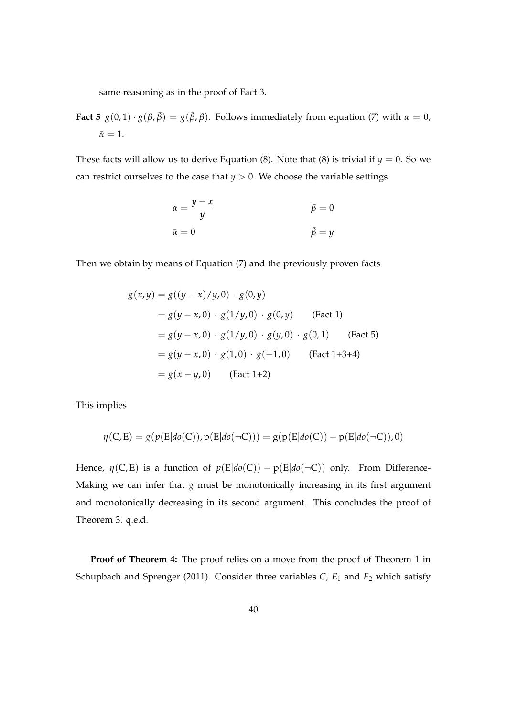same reasoning as in the proof of Fact 3.

**Fact 5**  $g(0,1) \cdot g(\beta, \bar{\beta}) = g(\bar{\beta}, \beta)$ . Follows immediately from equation (7) with  $\alpha = 0$ ,  $\bar{\alpha}=1.$ 

These facts will allow us to derive Equation (8). Note that (8) is trivial if  $y = 0$ . So we can restrict ourselves to the case that  $y > 0$ . We choose the variable settings

$$
\begin{aligned}\n\alpha &= \frac{y - x}{y} & \beta &= 0\\
\bar{\alpha} &= 0 & \bar{\beta} &= y\n\end{aligned}
$$

Then we obtain by means of Equation (7) and the previously proven facts

$$
g(x,y) = g((y-x)/y,0) \cdot g(0,y)
$$
  
=  $g(y-x,0) \cdot g(1/y,0) \cdot g(0,y)$  (Fact 1)  
=  $g(y-x,0) \cdot g(1/y,0) \cdot g(y,0) \cdot g(0,1)$  (Fact 5)  
=  $g(y-x,0) \cdot g(1,0) \cdot g(-1,0)$  (Fact 1+3+4)  
=  $g(x-y,0)$  (Fact 1+2)

This implies

$$
\eta(C,E) = g(p(E|do(C)), p(E|do(\neg C))) = g(p(E|do(C)) - p(E|do(\neg C)), 0)
$$

Hence,  $\eta(C, E)$  is a function of  $p(E|do(C)) - p(E|do(\neg C))$  only. From Difference-Making we can infer that  $g$  must be monotonically increasing in its first argument and monotonically decreasing in its second argument. This concludes the proof of Theorem 3. q.e.d.

**Proof of Theorem 4:** The proof relies on a move from the proof of Theorem 1 in Schupbach and Sprenger (2011). Consider three variables *C*, *E*<sup>1</sup> and *E*<sup>2</sup> which satisfy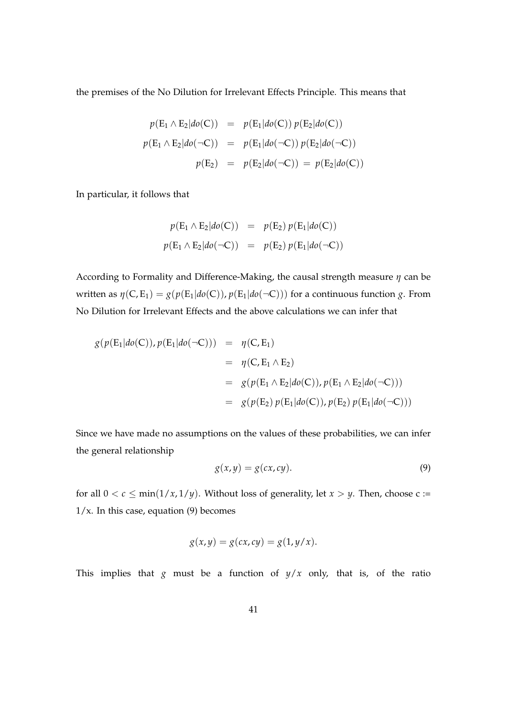the premises of the No Dilution for Irrelevant Effects Principle. This means that

$$
p(E_1 \wedge E_2 | do(C)) = p(E_1 | do(C)) p(E_2 | do(C))
$$
  

$$
p(E_1 \wedge E_2 | do(\neg C)) = p(E_1 | do(\neg C)) p(E_2 | do(\neg C))
$$
  

$$
p(E_2) = p(E_2 | do(\neg C)) = p(E_2 | do(C))
$$

In particular, it follows that

$$
p(E_1 \wedge E_2 | do(C)) = p(E_2) p(E_1 | do(C))
$$
  

$$
p(E_1 \wedge E_2 | do(\neg C)) = p(E_2) p(E_1 | do(\neg C))
$$

According to Formality and Difference-Making, the causal strength measure *η* can be written as  $\eta(C, E_1) = g(p(E_1|do(C)), p(E_1|do(\neg C)))$  for a continuous function *g*. From No Dilution for Irrelevant Effects and the above calculations we can infer that

$$
g(p(E_1|do(C)), p(E_1|do(\neg C))) = \eta(C, E_1)
$$
  
= 
$$
\eta(C, E_1 \wedge E_2)
$$
  
= 
$$
g(p(E_1 \wedge E_2|do(C)), p(E_1 \wedge E_2|do(\neg C)))
$$
  
= 
$$
g(p(E_2) p(E_1|do(C)), p(E_2) p(E_1|do(\neg C)))
$$

Since we have made no assumptions on the values of these probabilities, we can infer the general relationship

$$
g(x,y) = g(cx, cy).
$$
 (9)

for all  $0 < c \le \min(1/x, 1/y)$ . Without loss of generality, let  $x > y$ . Then, choose c :=  $1/x$ . In this case, equation (9) becomes

$$
g(x,y) = g(cx, cy) = g(1, y/x).
$$

This implies that *g* must be a function of  $y/x$  only, that is, of the ratio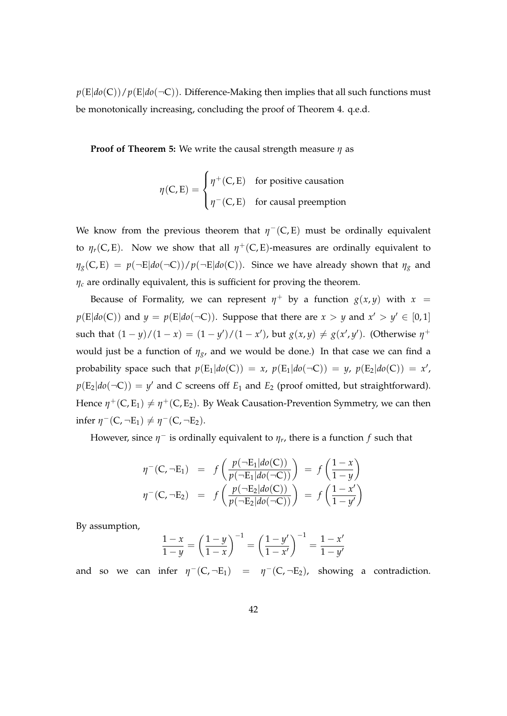$p(E|do(C))/p(E|do(-C))$ . Difference-Making then implies that all such functions must be monotonically increasing, concluding the proof of Theorem 4. q.e.d.

**Proof of Theorem 5:** We write the causal strength measure *η* as

$$
\eta(C, E) = \begin{cases} \eta^+(C, E) & \text{for positive causation} \\ \eta^-(C, E) & \text{for causal preemption} \end{cases}
$$

We know from the previous theorem that  $\eta^-(C,E)$  must be ordinally equivalent to  $\eta_r(C, E)$ . Now we show that all  $\eta^+(C, E)$ -measures are ordinally equivalent to  $\eta_g(C, E) = p(\neg E|do(\neg C))/p(\neg E|do(C))$ . Since we have already shown that  $\eta_g$  and *η<sup>c</sup>* are ordinally equivalent, this is sufficient for proving the theorem.

Because of Formality, we can represent  $\eta^+$  by a function  $g(x, y)$  with  $x =$  $p(E|do(C))$  and  $y = p(E|do(\neg C))$ . Suppose that there are  $x > y$  and  $x' > y' \in [0,1]$ such that  $(1 - y)/(1 - x) = (1 - y')/(1 - x')$ , but  $g(x, y) \neq g(x', y')$ . (Otherwise  $\eta^+$ would just be a function of *ηg*, and we would be done.) In that case we can find a probability space such that  $p(E_1|do(C)) = x$ ,  $p(E_1|do(\neg C)) = y$ ,  $p(E_2|do(C)) = x'$ ,  $p(E_2|do(\neg C)) = y'$  and *C* screens off  $E_1$  and  $E_2$  (proof omitted, but straightforward). Hence  $\eta^+(C, E_1) \neq \eta^+(C, E_2)$ . By Weak Causation-Prevention Symmetry, we can then infer  $\eta^-(C, \neg E_1) \neq \eta^-(C, \neg E_2)$ .

However, since  $\eta^-$  is ordinally equivalent to  $\eta_r$ , there is a function  $f$  such that

$$
\eta^{-}(C, \neg E_1) = f\left(\frac{p(\neg E_1|do(C))}{p(\neg E_1|do(\neg C))}\right) = f\left(\frac{1-x}{1-y}\right)
$$

$$
\eta^{-}(C, \neg E_2) = f\left(\frac{p(\neg E_2|do(C))}{p(\neg E_2|do(\neg C))}\right) = f\left(\frac{1-x'}{1-y'}\right)
$$

By assumption,

$$
\frac{1-x}{1-y} = \left(\frac{1-y}{1-x}\right)^{-1} = \left(\frac{1-y'}{1-x'}\right)^{-1} = \frac{1-x'}{1-y'}
$$

and so we can infer  $\eta^-(C, \neg E_1)$  =  $\eta^-(C, \neg E_2)$ , showing a contradiction.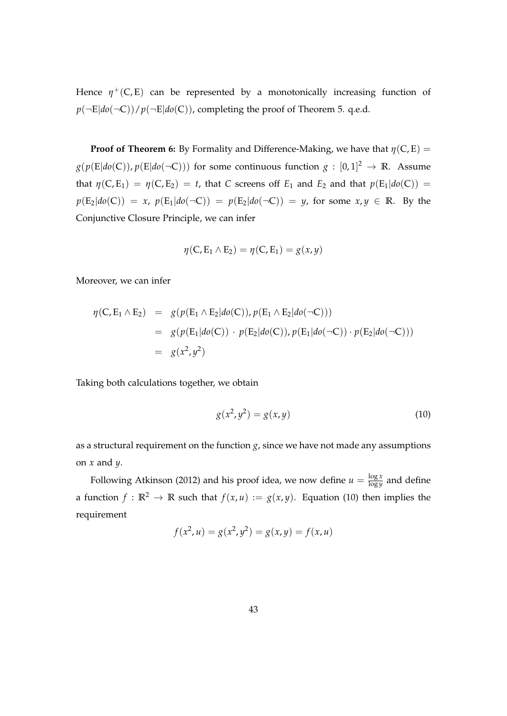Hence  $\eta^+$ (C, E) can be represented by a monotonically increasing function of  $p(\neg E|do(\neg C))/p(\neg E|do(C))$ , completing the proof of Theorem 5. q.e.d.

**Proof of Theorem 6:** By Formality and Difference-Making, we have that  $\eta$ (C, E) =  $g(p(\text{E}| do(\text{C})), p(\text{E}| do(\neg \text{C})))$  for some continuous function  $g:[0,1]^2\rightarrow \mathbb{R}.$  Assume that  $\eta(C, E_1) = \eta(C, E_2) = t$ , that *C* screens off  $E_1$  and  $E_2$  and that  $p(E_1|do(C)) =$  $p(E_2|do(C)) = x$ ,  $p(E_1|do(\neg C)) = p(E_2|do(\neg C)) = y$ , for some  $x, y \in \mathbb{R}$ . By the Conjunctive Closure Principle, we can infer

$$
\eta(C, E_1 \wedge E_2) = \eta(C, E_1) = g(x, y)
$$

Moreover, we can infer

$$
\eta(C, E_1 \wedge E_2) = g(p(E_1 \wedge E_2 | do(C)), p(E_1 \wedge E_2 | do(\neg C)))
$$
  
=  $g(p(E_1 | do(C)) \cdot p(E_2 | do(C)), p(E_1 | do(\neg C)) \cdot p(E_2 | do(\neg C)))$   
=  $g(x^2, y^2)$ 

Taking both calculations together, we obtain

$$
g(x^2, y^2) = g(x, y)
$$
 (10)

as a structural requirement on the function  $g$ , since we have not made any assumptions on *x* and *y*.

Following Atkinson (2012) and his proof idea, we now define  $u = \frac{\log x}{\log y}$  $\frac{\log x}{\log y}$  and define a function  $f : \mathbb{R}^2 \to \mathbb{R}$  such that  $f(x, u) := g(x, y)$ . Equation (10) then implies the requirement

$$
f(x^2, u) = g(x^2, y^2) = g(x, y) = f(x, u)
$$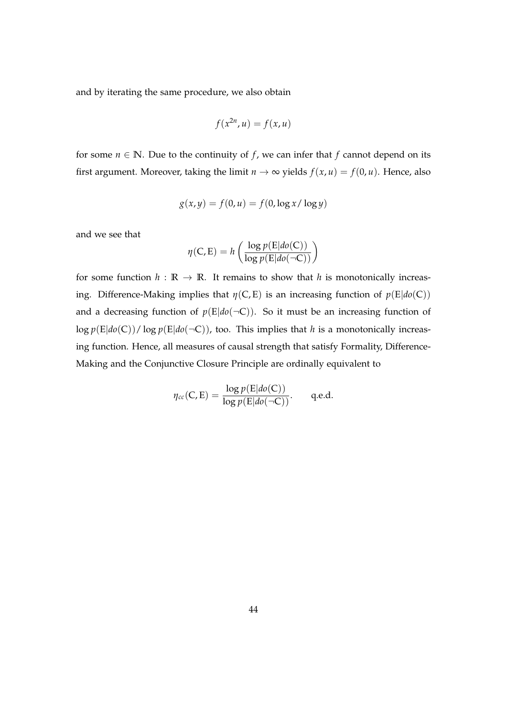and by iterating the same procedure, we also obtain

$$
f(x^{2n}, u) = f(x, u)
$$

for some  $n \in \mathbb{N}$ . Due to the continuity of *f*, we can infer that *f* cannot depend on its first argument. Moreover, taking the limit  $n \to \infty$  yields  $f(x, u) = f(0, u)$ . Hence, also

$$
g(x, y) = f(0, u) = f(0, \log x / \log y)
$$

and we see that

$$
\eta(C, E) = h\left(\frac{\log p(E|do(C))}{\log p(E|do(\neg C))}\right)
$$

for some function  $h : \mathbb{R} \to \mathbb{R}$ . It remains to show that *h* is monotonically increasing. Difference-Making implies that  $\eta(C, E)$  is an increasing function of  $p(E|do(C))$ and a decreasing function of  $p(E|do(\neg C))$ . So it must be an increasing function of  $\log p(E|do(C))/\log p(E|do(\neg C))$ , too. This implies that *h* is a monotonically increasing function. Hence, all measures of causal strength that satisfy Formality, Difference-Making and the Conjunctive Closure Principle are ordinally equivalent to

$$
\eta_{cc}(C, E) = \frac{\log p(E|do(C))}{\log p(E|do(\neg C))}.
$$
 q.e.d.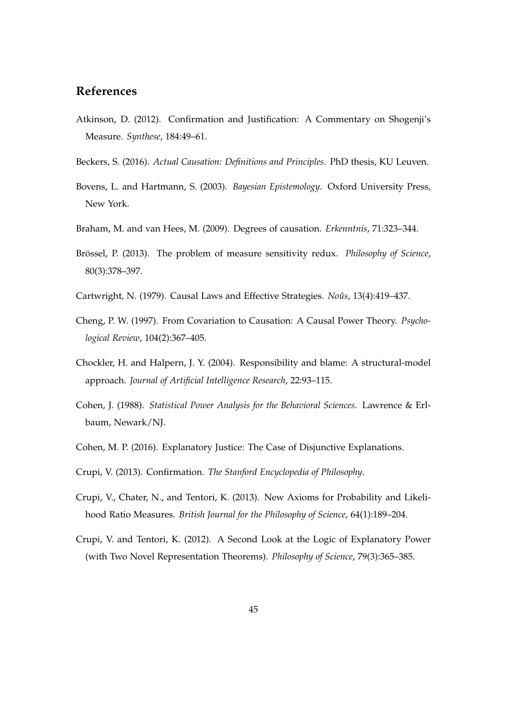## **References**

- Atkinson, D. (2012). Confirmation and Justification: A Commentary on Shogenji's Measure. *Synthese*, 184:49–61.
- Beckers, S. (2016). *Actual Causation: Definitions and Principles*. PhD thesis, KU Leuven.
- Bovens, L. and Hartmann, S. (2003). *Bayesian Epistemology*. Oxford University Press, New York.
- Braham, M. and van Hees, M. (2009). Degrees of causation. *Erkenntnis*, 71:323–344.
- Brössel, P. (2013). The problem of measure sensitivity redux. *Philosophy of Science*, 80(3):378–397.
- Cartwright, N. (1979). Causal Laws and Effective Strategies. *Noûs*, 13(4):419–437.
- Cheng, P. W. (1997). From Covariation to Causation: A Causal Power Theory. *Psychological Review*, 104(2):367–405.
- Chockler, H. and Halpern, J. Y. (2004). Responsibility and blame: A structural-model approach. *Journal of Artificial Intelligence Research*, 22:93–115.
- Cohen, J. (1988). *Statistical Power Analysis for the Behavioral Sciences*. Lawrence & Erlbaum, Newark/NJ.
- Cohen, M. P. (2016). Explanatory Justice: The Case of Disjunctive Explanations.
- Crupi, V. (2013). Confirmation. *The Stanford Encyclopedia of Philosophy*.
- Crupi, V., Chater, N., and Tentori, K. (2013). New Axioms for Probability and Likelihood Ratio Measures. *British Journal for the Philosophy of Science*, 64(1):189–204.
- Crupi, V. and Tentori, K. (2012). A Second Look at the Logic of Explanatory Power (with Two Novel Representation Theorems). *Philosophy of Science*, 79(3):365–385.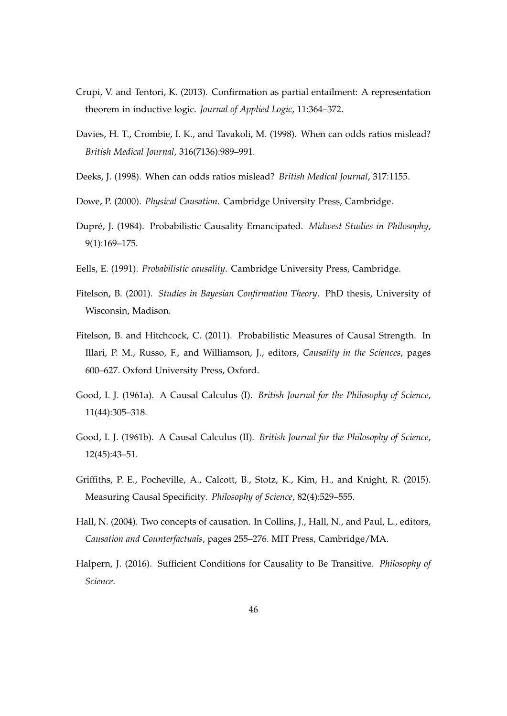- Crupi, V. and Tentori, K. (2013). Confirmation as partial entailment: A representation theorem in inductive logic. *Journal of Applied Logic*, 11:364–372.
- Davies, H. T., Crombie, I. K., and Tavakoli, M. (1998). When can odds ratios mislead? *British Medical Journal*, 316(7136):989–991.
- Deeks, J. (1998). When can odds ratios mislead? *British Medical Journal*, 317:1155.
- Dowe, P. (2000). *Physical Causation*. Cambridge University Press, Cambridge.
- Dupré, J. (1984). Probabilistic Causality Emancipated. *Midwest Studies in Philosophy*, 9(1):169–175.
- Eells, E. (1991). *Probabilistic causality*. Cambridge University Press, Cambridge.
- Fitelson, B. (2001). *Studies in Bayesian Confirmation Theory*. PhD thesis, University of Wisconsin, Madison.
- Fitelson, B. and Hitchcock, C. (2011). Probabilistic Measures of Causal Strength. In Illari, P. M., Russo, F., and Williamson, J., editors, *Causality in the Sciences*, pages 600–627. Oxford University Press, Oxford.
- Good, I. J. (1961a). A Causal Calculus (I). *British Journal for the Philosophy of Science*, 11(44):305–318.
- Good, I. J. (1961b). A Causal Calculus (II). *British Journal for the Philosophy of Science*, 12(45):43–51.
- Griffiths, P. E., Pocheville, A., Calcott, B., Stotz, K., Kim, H., and Knight, R. (2015). Measuring Causal Specificity. *Philosophy of Science*, 82(4):529–555.
- Hall, N. (2004). Two concepts of causation. In Collins, J., Hall, N., and Paul, L., editors, *Causation and Counterfactuals*, pages 255–276. MIT Press, Cambridge/MA.
- Halpern, J. (2016). Sufficient Conditions for Causality to Be Transitive. *Philosophy of Science*.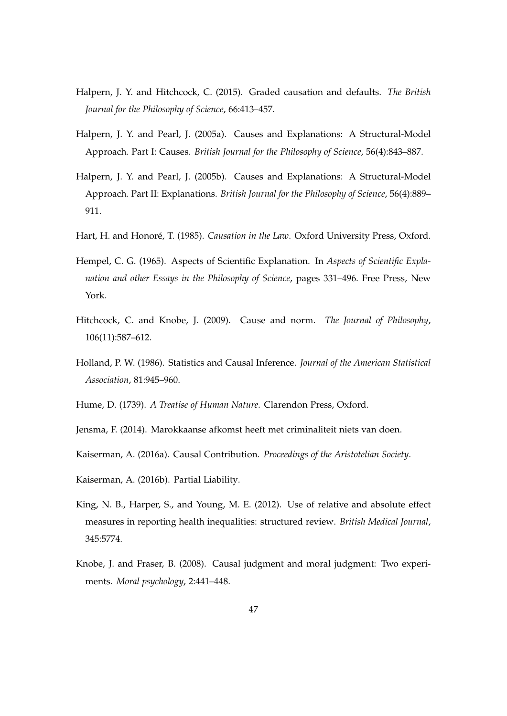- Halpern, J. Y. and Hitchcock, C. (2015). Graded causation and defaults. *The British Journal for the Philosophy of Science*, 66:413–457.
- Halpern, J. Y. and Pearl, J. (2005a). Causes and Explanations: A Structural-Model Approach. Part I: Causes. *British Journal for the Philosophy of Science*, 56(4):843–887.
- Halpern, J. Y. and Pearl, J. (2005b). Causes and Explanations: A Structural-Model Approach. Part II: Explanations. *British Journal for the Philosophy of Science*, 56(4):889– 911.
- Hart, H. and Honoré, T. (1985). *Causation in the Law*. Oxford University Press, Oxford.
- Hempel, C. G. (1965). Aspects of Scientific Explanation. In *Aspects of Scientific Explanation and other Essays in the Philosophy of Science*, pages 331–496. Free Press, New York.
- Hitchcock, C. and Knobe, J. (2009). Cause and norm. *The Journal of Philosophy*, 106(11):587–612.
- Holland, P. W. (1986). Statistics and Causal Inference. *Journal of the American Statistical Association*, 81:945–960.
- Hume, D. (1739). *A Treatise of Human Nature*. Clarendon Press, Oxford.
- Jensma, F. (2014). Marokkaanse afkomst heeft met criminaliteit niets van doen.
- Kaiserman, A. (2016a). Causal Contribution. *Proceedings of the Aristotelian Society*.
- Kaiserman, A. (2016b). Partial Liability.
- King, N. B., Harper, S., and Young, M. E. (2012). Use of relative and absolute effect measures in reporting health inequalities: structured review. *British Medical Journal*, 345:5774.
- Knobe, J. and Fraser, B. (2008). Causal judgment and moral judgment: Two experiments. *Moral psychology*, 2:441–448.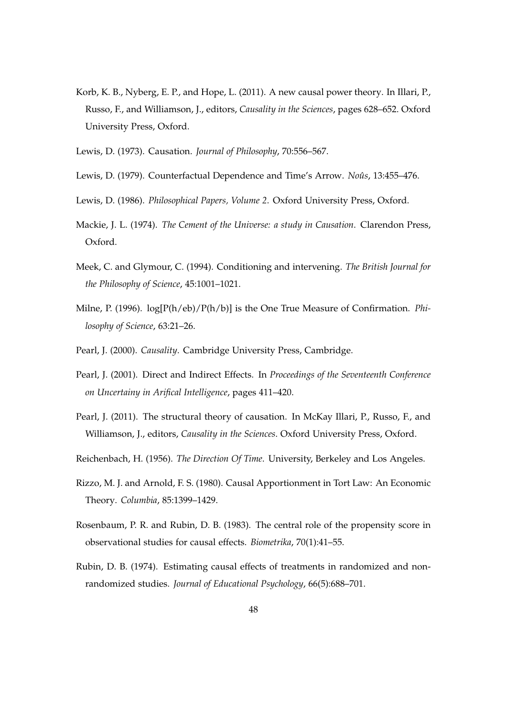- Korb, K. B., Nyberg, E. P., and Hope, L. (2011). A new causal power theory. In Illari, P., Russo, F., and Williamson, J., editors, *Causality in the Sciences*, pages 628–652. Oxford University Press, Oxford.
- Lewis, D. (1973). Causation. *Journal of Philosophy*, 70:556–567.
- Lewis, D. (1979). Counterfactual Dependence and Time's Arrow. *Noûs*, 13:455–476.
- Lewis, D. (1986). *Philosophical Papers, Volume 2*. Oxford University Press, Oxford.
- Mackie, J. L. (1974). *The Cement of the Universe: a study in Causation*. Clarendon Press, Oxford.
- Meek, C. and Glymour, C. (1994). Conditioning and intervening. *The British Journal for the Philosophy of Science*, 45:1001–1021.
- Milne, P. (1996). log[P(h/eb)/P(h/b)] is the One True Measure of Confirmation. *Philosophy of Science*, 63:21–26.
- Pearl, J. (2000). *Causality*. Cambridge University Press, Cambridge.
- Pearl, J. (2001). Direct and Indirect Effects. In *Proceedings of the Seventeenth Conference on Uncertainy in Arifical Intelligence*, pages 411–420.
- Pearl, J. (2011). The structural theory of causation. In McKay Illari, P., Russo, F., and Williamson, J., editors, *Causality in the Sciences*. Oxford University Press, Oxford.
- Reichenbach, H. (1956). *The Direction Of Time*. University, Berkeley and Los Angeles.
- Rizzo, M. J. and Arnold, F. S. (1980). Causal Apportionment in Tort Law: An Economic Theory. *Columbia*, 85:1399–1429.
- Rosenbaum, P. R. and Rubin, D. B. (1983). The central role of the propensity score in observational studies for causal effects. *Biometrika*, 70(1):41–55.
- Rubin, D. B. (1974). Estimating causal effects of treatments in randomized and nonrandomized studies. *Journal of Educational Psychology*, 66(5):688–701.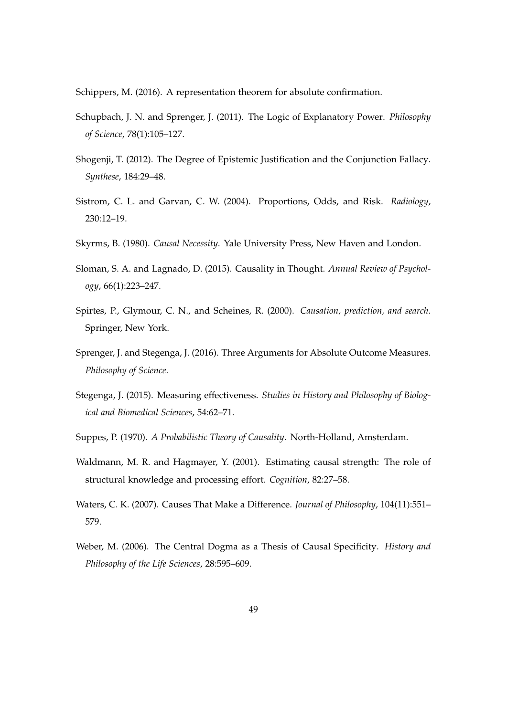Schippers, M. (2016). A representation theorem for absolute confirmation.

- Schupbach, J. N. and Sprenger, J. (2011). The Logic of Explanatory Power. *Philosophy of Science*, 78(1):105–127.
- Shogenji, T. (2012). The Degree of Epistemic Justification and the Conjunction Fallacy. *Synthese*, 184:29–48.
- Sistrom, C. L. and Garvan, C. W. (2004). Proportions, Odds, and Risk. *Radiology*, 230:12–19.
- Skyrms, B. (1980). *Causal Necessity*. Yale University Press, New Haven and London.
- Sloman, S. A. and Lagnado, D. (2015). Causality in Thought. *Annual Review of Psychology*, 66(1):223–247.
- Spirtes, P., Glymour, C. N., and Scheines, R. (2000). *Causation, prediction, and search*. Springer, New York.
- Sprenger, J. and Stegenga, J. (2016). Three Arguments for Absolute Outcome Measures. *Philosophy of Science*.
- Stegenga, J. (2015). Measuring effectiveness. *Studies in History and Philosophy of Biological and Biomedical Sciences*, 54:62–71.
- Suppes, P. (1970). *A Probabilistic Theory of Causality*. North-Holland, Amsterdam.
- Waldmann, M. R. and Hagmayer, Y. (2001). Estimating causal strength: The role of structural knowledge and processing effort. *Cognition*, 82:27–58.
- Waters, C. K. (2007). Causes That Make a Difference. *Journal of Philosophy*, 104(11):551– 579.
- Weber, M. (2006). The Central Dogma as a Thesis of Causal Specificity. *History and Philosophy of the Life Sciences*, 28:595–609.